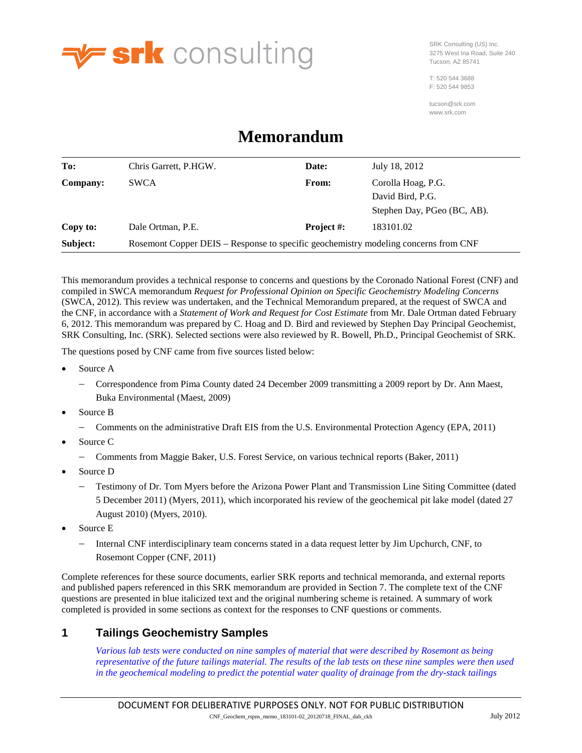

SRK Consulting (US) Inc. 3275 West Ina Road, Suite 240 Tucson, AZ 85741

T: 520 544 3688 F: 520 544 9853

tucson@srk.com www.srk.com

# **Memorandum**

| To:             | Chris Garrett, P.HGW.                                                               | Date:             | July 18, 2012               |  |  |  |  |  |  |  |
|-----------------|-------------------------------------------------------------------------------------|-------------------|-----------------------------|--|--|--|--|--|--|--|
| <b>Company:</b> | <b>SWCA</b>                                                                         | From:             | Corolla Hoag, P.G.          |  |  |  |  |  |  |  |
|                 |                                                                                     |                   | David Bird, P.G.            |  |  |  |  |  |  |  |
|                 |                                                                                     |                   | Stephen Day, PGeo (BC, AB). |  |  |  |  |  |  |  |
| Copy to:        | Dale Ortman, P.E.                                                                   | <b>Project #:</b> | 183101.02                   |  |  |  |  |  |  |  |
| Subject:        | Rosemont Copper DEIS – Response to specific geochemistry modeling concerns from CNF |                   |                             |  |  |  |  |  |  |  |

This memorandum provides a technical response to concerns and questions by the Coronado National Forest (CNF) and compiled in SWCA memorandum *Request for Professional Opinion on Specific Geochemistry Modeling Concerns*  (SWCA, 2012). This review was undertaken, and the Technical Memorandum prepared, at the request of SWCA and the CNF, in accordance with a *Statement of Work and Request for Cost Estimate* from Mr. Dale Ortman dated February 6, 2012. This memorandum was prepared by C. Hoag and D. Bird and reviewed by Stephen Day Principal Geochemist, SRK Consulting, Inc. (SRK). Selected sections were also reviewed by R. Bowell, Ph.D., Principal Geochemist of SRK.

The questions posed by CNF came from five sources listed below:

- Source A
	- − Correspondence from Pima County dated 24 December 2009 transmitting a 2009 report by Dr. Ann Maest, Buka Environmental (Maest, 2009)
- Source B
	- − Comments on the administrative Draft EIS from the U.S. Environmental Protection Agency (EPA, 2011)
- Source C
	- − Comments from Maggie Baker, U.S. Forest Service, on various technical reports (Baker, 2011)
- Source D
	- − Testimony of Dr. Tom Myers before the Arizona Power Plant and Transmission Line Siting Committee (dated 5 December 2011) (Myers, 2011), which incorporated his review of the geochemical pit lake model (dated 27 August 2010) (Myers, 2010).
- Source E
	- − Internal CNF interdisciplinary team concerns stated in a data request letter by Jim Upchurch, CNF, to Rosemont Copper (CNF, 2011)

Complete references for these source documents, earlier SRK reports and technical memoranda, and external reports and published papers referenced in this SRK memorandum are provided in Section [7.](#page-30-0) The complete text of the CNF questions are presented in blue italicized text and the original numbering scheme is retained. A summary of work completed is provided in some sections as context for the responses to CNF questions or comments.

# <span id="page-0-0"></span>**1 Tailings Geochemistry Samples**

*Various lab tests were conducted on nine samples of material that were described by Rosemont as being representative of the future tailings material. The results of the lab tests on these nine samples were then used in the geochemical modeling to predict the potential water quality of drainage from the dry-stack tailings*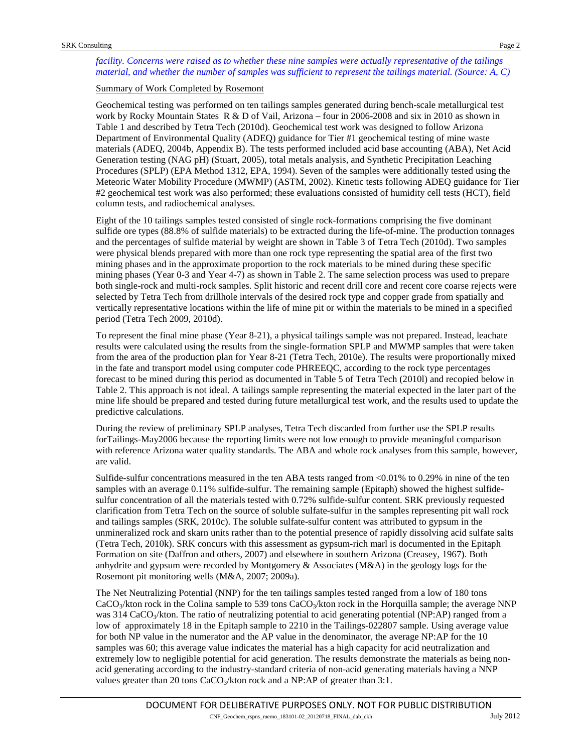*facility. Concerns were raised as to whether these nine samples were actually representative of the tailings material, and whether the number of samples was sufficient to represent the tailings material. (Source: A, C)*

## Summary of Work Completed by Rosemont

Geochemical testing was performed on ten tailings samples generated during bench-scale metallurgical test work by Rocky Mountain States R & D of Vail, Arizona – four in 2006-2008 and six in 2010 as shown in [Table 1](#page-2-0) and described by Tetra Tech (2010d). Geochemical test work was designed to follow Arizona Department of Environmental Quality (ADEQ) guidance for Tier #1 geochemical testing of mine waste materials (ADEQ, 2004b, Appendix B). The tests performed included acid base accounting (ABA), Net Acid Generation testing (NAG pH) (Stuart, 2005), total metals analysis, and Synthetic Precipitation Leaching Procedures (SPLP) (EPA Method 1312, EPA, 1994). Seven of the samples were additionally tested using the Meteoric Water Mobility Procedure (MWMP) (ASTM, 2002). Kinetic tests following ADEQ guidance for Tier #2 geochemical test work was also performed; these evaluations consisted of humidity cell tests (HCT), field column tests, and radiochemical analyses.

Eight of the 10 tailings samples tested consisted of single rock-formations comprising the five dominant sulfide ore types (88.8% of sulfide materials) to be extracted during the life-of-mine. The production tonnages and the percentages of sulfide material by weight are shown in Table 3 of Tetra Tech (2010d). Two samples were physical blends prepared with more than one rock type representing the spatial area of the first two mining phases and in the approximate proportion to the rock materials to be mined during these specific mining phases (Year 0-3 and Year 4-7) as shown i[n Table 2.](#page-2-1) The same selection process was used to prepare both single-rock and multi-rock samples. Split historic and recent drill core and recent core coarse rejects were selected by Tetra Tech from drillhole intervals of the desired rock type and copper grade from spatially and vertically representative locations within the life of mine pit or within the materials to be mined in a specified period (Tetra Tech 2009, 2010d).

To represent the final mine phase (Year 8-21), a physical tailings sample was not prepared. Instead, leachate results were calculated using the results from the single-formation SPLP and MWMP samples that were taken from the area of the production plan for Year 8-21 (Tetra Tech, 2010e). The results were proportionally mixed in the fate and transport model using computer code PHREEQC, according to the rock type percentages forecast to be mined during this period as documented in Table 5 of Tetra Tech (2010l) and recopied below in [Table 2.](#page-2-1) This approach is not ideal. A tailings sample representing the material expected in the later part of the mine life should be prepared and tested during future metallurgical test work, and the results used to update the predictive calculations.

During the review of preliminary SPLP analyses, Tetra Tech discarded from further use the SPLP results forTailings-May2006 because the reporting limits were not low enough to provide meaningful comparison with reference Arizona water quality standards. The ABA and whole rock analyses from this sample, however, are valid.

Sulfide-sulfur concentrations measured in the ten ABA tests ranged from <0.01% to 0.29% in nine of the ten samples with an average 0.11% sulfide-sulfur. The remaining sample (Epitaph) showed the highest sulfidesulfur concentration of all the materials tested with 0.72% sulfide-sulfur content. SRK previously requested clarification from Tetra Tech on the source of soluble sulfate-sulfur in the samples representing pit wall rock and tailings samples (SRK, 2010c). The soluble sulfate-sulfur content was attributed to gypsum in the unmineralized rock and skarn units rather than to the potential presence of rapidly dissolving acid sulfate salts (Tetra Tech, 2010k). SRK concurs with this assessment as gypsum-rich marl is documented in the Epitaph Formation on site (Daffron and others, 2007) and elsewhere in southern Arizona (Creasey, 1967). Both anhydrite and gypsum were recorded by Montgomery & Associates (M&A) in the geology logs for the Rosemont pit monitoring wells (M&A, 2007; 2009a).

The Net Neutralizing Potential (NNP) for the ten tailings samples tested ranged from a low of 180 tons  $CaCO<sub>3</sub>/kton$  rock in the Colina sample to 539 tons CaCO<sub>3</sub>/kton rock in the Horquilla sample; the average NNP was 314 CaCO<sub>3</sub>/kton. The ratio of neutralizing potential to acid generating potential (NP:AP) ranged from a low of approximately 18 in the Epitaph sample to 2210 in the Tailings-022807 sample. Using average value for both NP value in the numerator and the AP value in the denominator, the average NP:AP for the 10 samples was 60; this average value indicates the material has a high capacity for acid neutralization and extremely low to negligible potential for acid generation. The results demonstrate the materials as being nonacid generating according to the industry-standard criteria of non-acid generating materials having a NNP values greater than 20 tons  $CaCO<sub>3</sub>/kton$  rock and a NP:AP of greater than 3:1.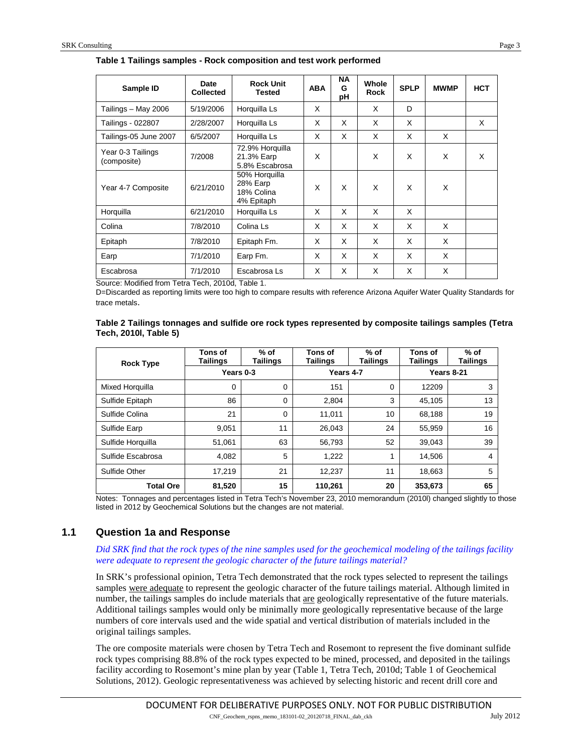| Sample ID                        | Date<br><b>Collected</b> | <b>Rock Unit</b><br><b>Tested</b>               | <b>ABA</b> | NA<br>G<br>pН | Whole<br>Rock | <b>SPLP</b> | <b>MWMP</b> | <b>HCT</b> |
|----------------------------------|--------------------------|-------------------------------------------------|------------|---------------|---------------|-------------|-------------|------------|
| Tailings - May 2006              | 5/19/2006                | Horquilla Ls                                    | X          |               | X             | D           |             |            |
| Tailings - 022807                | 2/28/2007                | Horquilla Ls                                    | X          | X             | X             | X           |             | X          |
| Tailings-05 June 2007            | 6/5/2007                 | Horquilla Ls                                    | X          | X             | X             | X           | X           |            |
| Year 0-3 Tailings<br>(composite) | 7/2008                   | 72.9% Horquilla<br>21.3% Earp<br>5.8% Escabrosa | X          |               | X             | X           | X           | X          |
| Year 4-7 Composite               | 6/21/2010                |                                                 |            | X             | X             | X           | X           |            |
| Horguilla                        | 6/21/2010                | Horquilla Ls                                    | X          | X             | X             | X           |             |            |
| Colina                           | 7/8/2010                 | Colina Ls                                       | X          | X             | X             | X           | X           |            |
| Epitaph                          | 7/8/2010                 | Epitaph Fm.                                     | X          | X             | X             | X           | X           |            |
| Earp                             | 7/1/2010                 | Earp Fm.                                        | X          | X             | X             | X           | X           |            |
| Escabrosa                        | 7/1/2010                 | Escabrosa Ls                                    | X          | X             | X             | X           | X           |            |

#### <span id="page-2-0"></span>**Table 1 Tailings samples - Rock composition and test work performed**

Source: Modified from Tetra Tech, 2010d, Table 1.

D=Discarded as reporting limits were too high to compare results with reference Arizona Aquifer Water Quality Standards for trace metals.

<span id="page-2-1"></span>

| Table 2 Tailings tonnages and sulfide ore rock types represented by composite tailings samples (Tetra |  |
|-------------------------------------------------------------------------------------------------------|--|
| Tech, 2010l, Table 5)                                                                                 |  |

| <b>Rock Type</b>  | Tons of<br>Tailings | $%$ of<br><b>Tailings</b> | Tons of<br><b>Tailings</b> | % of<br><b>Tailings</b> | Tons of<br>Tailings | % of<br><b>Tailings</b> |  |
|-------------------|---------------------|---------------------------|----------------------------|-------------------------|---------------------|-------------------------|--|
|                   | Years 0-3           |                           | Years 4-7                  |                         | <b>Years 8-21</b>   |                         |  |
| Mixed Horquilla   | 0                   | 0                         | 151                        | 0                       | 12209               | 3                       |  |
| Sulfide Epitaph   | 86                  | 0                         | 2,804                      | 3                       | 45.105              | 13                      |  |
| Sulfide Colina    | 21                  | $\Omega$                  | 11,011                     | 10                      | 68,188              | 19                      |  |
| Sulfide Earp      | 9,051               | 11                        | 26,043                     | 24                      | 55,959              | 16                      |  |
| Sulfide Horquilla | 51,061              | 63                        | 56,793                     | 52                      | 39,043              | 39                      |  |
| Sulfide Escabrosa | 4,082               | 5                         | 1,222                      |                         | 14,506              | $\overline{4}$          |  |
| Sulfide Other     | 17,219              |                           | 12,237                     | 11                      | 18,663              | 5                       |  |
| <b>Total Ore</b>  | 81,520              | 15                        | 110,261                    | 20                      | 353,673             | 65                      |  |

Notes: Tonnages and percentages listed in Tetra Tech's November 23, 2010 memorandum (2010l) changed slightly to those listed in 2012 by Geochemical Solutions but the changes are not material.

# **1.1 Question 1a and Response**

#### *Did SRK find that the rock types of the nine samples used for the geochemical modeling of the tailings facility were adequate to represent the geologic character of the future tailings material?*

In SRK's professional opinion, Tetra Tech demonstrated that the rock types selected to represent the tailings samples were adequate to represent the geologic character of the future tailings material. Although limited in number, the tailings samples do include materials that are geologically representative of the future materials. Additional tailings samples would only be minimally more geologically representative because of the large numbers of core intervals used and the wide spatial and vertical distribution of materials included in the original tailings samples.

The ore composite materials were chosen by Tetra Tech and Rosemont to represent the five dominant sulfide rock types comprising 88.8% of the rock types expected to be mined, processed, and deposited in the tailings facility according to Rosemont's mine plan by year (Table 1, Tetra Tech, 2010d; Table 1 of Geochemical Solutions, 2012). Geologic representativeness was achieved by selecting historic and recent drill core and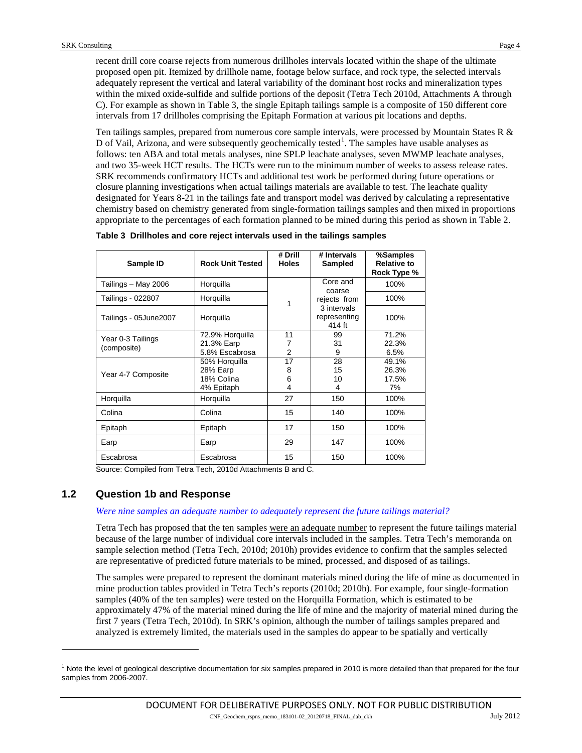recent drill core coarse rejects from numerous drillholes intervals located within the shape of the ultimate proposed open pit. Itemized by drillhole name, footage below surface, and rock type, the selected intervals adequately represent the vertical and lateral variability of the dominant host rocks and mineralization types within the mixed oxide-sulfide and sulfide portions of the deposit (Tetra Tech 2010d, Attachments A through C). For example as shown in [Table 3,](#page-3-0) the single Epitaph tailings sample is a composite of 150 different core intervals from 17 drillholes comprising the Epitaph Formation at various pit locations and depths.

Ten tailings samples, prepared from numerous core sample intervals, were processed by Mountain States R & D of Vail, Arizona, and were subsequently geochemically tested<sup>[1](#page-3-1)</sup>. The samples have usable analyses as follows: ten ABA and total metals analyses, nine SPLP leachate analyses, seven MWMP leachate analyses, and two 35-week HCT results. The HCTs were run to the minimum number of weeks to assess release rates. SRK recommends confirmatory HCTs and additional test work be performed during future operations or closure planning investigations when actual tailings materials are available to test. The leachate quality designated for Years 8-21 in the tailings fate and transport model was derived by calculating a representative chemistry based on chemistry generated from single-formation tailings samples and then mixed in proportions appropriate to the percentages of each formation planned to be mined during this period as shown in [Table 2.](#page-2-1)

| Sample ID             | <b>Rock Unit Tested</b>      | # Drill<br><b>Holes</b> | # Intervals<br>Sampled                | %Samples<br><b>Relative to</b><br>Rock Type % |
|-----------------------|------------------------------|-------------------------|---------------------------------------|-----------------------------------------------|
| Tailings – May 2006   | Horquilla                    |                         | Core and<br>coarse                    | 100%                                          |
| Tailings - 022807     | Horquilla                    | 1                       | rejects from                          | 100%                                          |
| Tailings - 05June2007 | Horquilla                    |                         | 3 intervals<br>representing<br>414 ft | 100%                                          |
| Year 0-3 Tailings     | 72.9% Horquilla              | 11                      | 99                                    | 71.2%                                         |
| (composite)           | 21.3% Earp<br>5.8% Escabrosa | 7<br>2                  | 31<br>9                               | 22.3%<br>6.5%                                 |
|                       | 50% Horguilla                | 17                      | 28                                    | 49.1%                                         |
|                       | 28% Earp                     | 8                       | 15                                    | 26.3%                                         |
| Year 4-7 Composite    | 18% Colina                   | 6                       | 10                                    | 17.5%                                         |
|                       | 4% Epitaph                   | 4                       | 4                                     | 7%                                            |
| Horquilla             | Horquilla                    | 27                      | 150                                   | 100%                                          |
| Colina                | Colina                       | 15                      | 140                                   | 100%                                          |
| Epitaph               | Epitaph                      | 17                      | 150                                   | 100%                                          |
| Earp                  | Earp                         | 29                      | 147                                   | 100%                                          |
| Escabrosa             | Escabrosa                    | 15                      | 150                                   | 100%                                          |

<span id="page-3-0"></span>**Table 3 Drillholes and core reject intervals used in the tailings samples**

Source: Compiled from Tetra Tech, 2010d Attachments B and C.

# **1.2 Question 1b and Response**

-

#### *Were nine samples an adequate number to adequately represent the future tailings material?*

Tetra Tech has proposed that the ten samples were an adequate number to represent the future tailings material because of the large number of individual core intervals included in the samples. Tetra Tech's memoranda on sample selection method (Tetra Tech, 2010d; 2010h) provides evidence to confirm that the samples selected are representative of predicted future materials to be mined, processed, and disposed of as tailings.

The samples were prepared to represent the dominant materials mined during the life of mine as documented in mine production tables provided in Tetra Tech's reports (2010d; 2010h). For example, four single-formation samples (40% of the ten samples) were tested on the Horquilla Formation, which is estimated to be approximately 47% of the material mined during the life of mine and the majority of material mined during the first 7 years (Tetra Tech, 2010d). In SRK's opinion, although the number of tailings samples prepared and analyzed is extremely limited, the materials used in the samples do appear to be spatially and vertically

<span id="page-3-1"></span> $^1$  Note the level of geological descriptive documentation for six samples prepared in 2010 is more detailed than that prepared for the four samples from 2006-2007.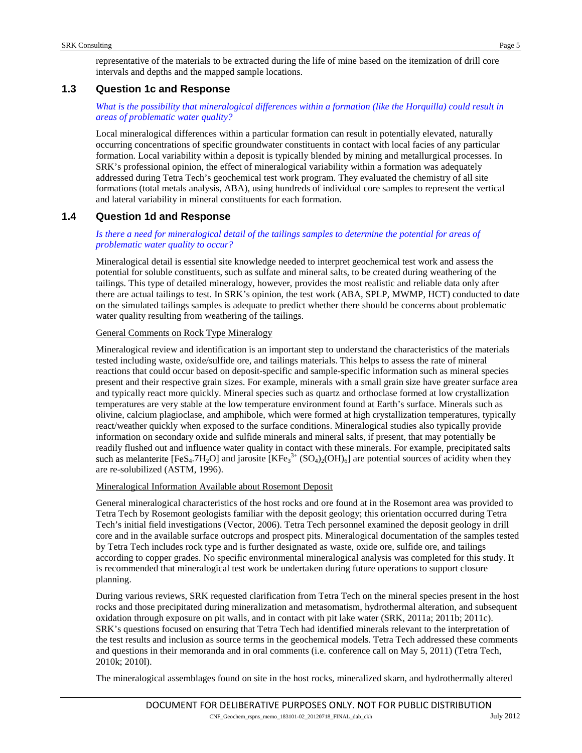representative of the materials to be extracted during the life of mine based on the itemization of drill core intervals and depths and the mapped sample locations.

# **1.3 Question 1c and Response**

# *What is the possibility that mineralogical differences within a formation (like the Horquilla) could result in areas of problematic water quality?*

Local mineralogical differences within a particular formation can result in potentially elevated, naturally occurring concentrations of specific groundwater constituents in contact with local facies of any particular formation. Local variability within a deposit is typically blended by mining and metallurgical processes. In SRK's professional opinion, the effect of mineralogical variability within a formation was adequately addressed during Tetra Tech's geochemical test work program. They evaluated the chemistry of all site formations (total metals analysis, ABA), using hundreds of individual core samples to represent the vertical and lateral variability in mineral constituents for each formation.

# **1.4 Question 1d and Response**

# *Is there a need for mineralogical detail of the tailings samples to determine the potential for areas of problematic water quality to occur?*

Mineralogical detail is essential site knowledge needed to interpret geochemical test work and assess the potential for soluble constituents, such as sulfate and mineral salts, to be created during weathering of the tailings. This type of detailed mineralogy, however, provides the most realistic and reliable data only after there are actual tailings to test. In SRK's opinion, the test work (ABA, SPLP, MWMP, HCT) conducted to date on the simulated tailings samples is adequate to predict whether there should be concerns about problematic water quality resulting from weathering of the tailings.

#### General Comments on Rock Type Mineralogy

Mineralogical review and identification is an important step to understand the characteristics of the materials tested including waste, oxide/sulfide ore, and tailings materials. This helps to assess the rate of mineral reactions that could occur based on deposit-specific and sample-specific information such as mineral species present and their respective grain sizes. For example, minerals with a small grain size have greater surface area and typically react more quickly. Mineral species such as quartz and orthoclase formed at low crystallization temperatures are very stable at the low temperature environment found at Earth's surface. Minerals such as olivine, calcium plagioclase, and amphibole, which were formed at high crystallization temperatures, typically react/weather quickly when exposed to the surface conditions. Mineralogical studies also typically provide information on secondary oxide and sulfide minerals and mineral salts, if present, that may potentially be readily flushed out and influence water quality in contact with these minerals. For example, precipitated salts such as melanterite [FeS<sub>4</sub>.7H<sub>2</sub>O] and jarosite [KFe<sub>3</sub><sup>3+</sup> (SO<sub>4</sub>)<sub>2</sub>(OH)<sub>6</sub>] are potential sources of acidity when they are re-solubilized (ASTM, 1996).

# Mineralogical Information Available about Rosemont Deposit

General mineralogical characteristics of the host rocks and ore found at in the Rosemont area was provided to Tetra Tech by Rosemont geologists familiar with the deposit geology; this orientation occurred during Tetra Tech's initial field investigations (Vector, 2006). Tetra Tech personnel examined the deposit geology in drill core and in the available surface outcrops and prospect pits. Mineralogical documentation of the samples tested by Tetra Tech includes rock type and is further designated as waste, oxide ore, sulfide ore, and tailings according to copper grades. No specific environmental mineralogical analysis was completed for this study. It is recommended that mineralogical test work be undertaken during future operations to support closure planning.

During various reviews, SRK requested clarification from Tetra Tech on the mineral species present in the host rocks and those precipitated during mineralization and metasomatism, hydrothermal alteration, and subsequent oxidation through exposure on pit walls, and in contact with pit lake water (SRK, 2011a; 2011b; 2011c). SRK's questions focused on ensuring that Tetra Tech had identified minerals relevant to the interpretation of the test results and inclusion as source terms in the geochemical models. Tetra Tech addressed these comments and questions in their memoranda and in oral comments (i.e. conference call on May 5, 2011) (Tetra Tech, 2010k; 2010l).

The mineralogical assemblages found on site in the host rocks, mineralized skarn, and hydrothermally altered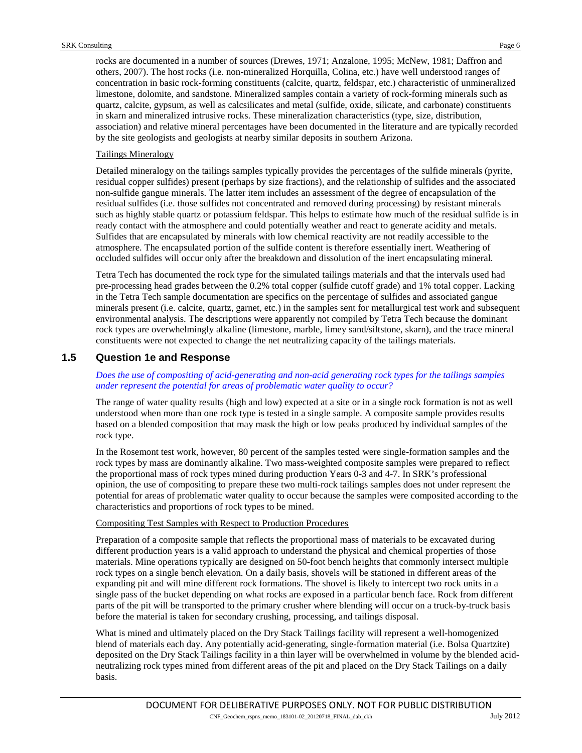rocks are documented in a number of sources (Drewes, 1971; Anzalone, 1995; McNew, 1981; Daffron and others, 2007). The host rocks (i.e. non-mineralized Horquilla, Colina, etc.) have well understood ranges of concentration in basic rock-forming constituents (calcite, quartz, feldspar, etc.) characteristic of unmineralized limestone, dolomite, and sandstone. Mineralized samples contain a variety of rock-forming minerals such as quartz, calcite, gypsum, as well as calcsilicates and metal (sulfide, oxide, silicate, and carbonate) constituents in skarn and mineralized intrusive rocks. These mineralization characteristics (type, size, distribution, association) and relative mineral percentages have been documented in the literature and are typically recorded by the site geologists and geologists at nearby similar deposits in southern Arizona.

## Tailings Mineralogy

Detailed mineralogy on the tailings samples typically provides the percentages of the sulfide minerals (pyrite, residual copper sulfides) present (perhaps by size fractions), and the relationship of sulfides and the associated non-sulfide gangue minerals. The latter item includes an assessment of the degree of encapsulation of the residual sulfides (i.e. those sulfides not concentrated and removed during processing) by resistant minerals such as highly stable quartz or potassium feldspar. This helps to estimate how much of the residual sulfide is in ready contact with the atmosphere and could potentially weather and react to generate acidity and metals. Sulfides that are encapsulated by minerals with low chemical reactivity are not readily accessible to the atmosphere. The encapsulated portion of the sulfide content is therefore essentially inert. Weathering of occluded sulfides will occur only after the breakdown and dissolution of the inert encapsulating mineral.

Tetra Tech has documented the rock type for the simulated tailings materials and that the intervals used had pre-processing head grades between the 0.2% total copper (sulfide cutoff grade) and 1% total copper. Lacking in the Tetra Tech sample documentation are specifics on the percentage of sulfides and associated gangue minerals present (i.e. calcite, quartz, garnet, etc.) in the samples sent for metallurgical test work and subsequent environmental analysis. The descriptions were apparently not compiled by Tetra Tech because the dominant rock types are overwhelmingly alkaline (limestone, marble, limey sand/siltstone, skarn), and the trace mineral constituents were not expected to change the net neutralizing capacity of the tailings materials.

# **1.5 Question 1e and Response**

#### *Does the use of compositing of acid-generating and non-acid generating rock types for the tailings samples under represent the potential for areas of problematic water quality to occur?*

The range of water quality results (high and low) expected at a site or in a single rock formation is not as well understood when more than one rock type is tested in a single sample. A composite sample provides results based on a blended composition that may mask the high or low peaks produced by individual samples of the rock type.

In the Rosemont test work, however, 80 percent of the samples tested were single-formation samples and the rock types by mass are dominantly alkaline. Two mass-weighted composite samples were prepared to reflect the proportional mass of rock types mined during production Years 0-3 and 4-7. In SRK's professional opinion, the use of compositing to prepare these two multi-rock tailings samples does not under represent the potential for areas of problematic water quality to occur because the samples were composited according to the characteristics and proportions of rock types to be mined.

#### Compositing Test Samples with Respect to Production Procedures

Preparation of a composite sample that reflects the proportional mass of materials to be excavated during different production years is a valid approach to understand the physical and chemical properties of those materials. Mine operations typically are designed on 50-foot bench heights that commonly intersect multiple rock types on a single bench elevation. On a daily basis, shovels will be stationed in different areas of the expanding pit and will mine different rock formations. The shovel is likely to intercept two rock units in a single pass of the bucket depending on what rocks are exposed in a particular bench face. Rock from different parts of the pit will be transported to the primary crusher where blending will occur on a truck-by-truck basis before the material is taken for secondary crushing, processing, and tailings disposal.

What is mined and ultimately placed on the Dry Stack Tailings facility will represent a well-homogenized blend of materials each day. Any potentially acid-generating, single-formation material (i.e. Bolsa Quartzite) deposited on the Dry Stack Tailings facility in a thin layer will be overwhelmed in volume by the blended acidneutralizing rock types mined from different areas of the pit and placed on the Dry Stack Tailings on a daily basis.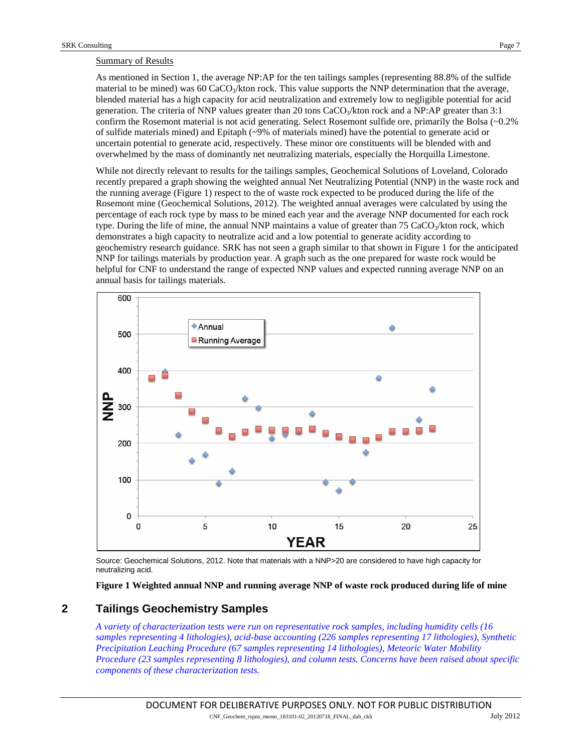#### Summary of Results

As mentioned in Section [1,](#page-0-0) the average NP:AP for the ten tailings samples (representing 88.8% of the sulfide material to be mined) was 60 CaCO<sub>3</sub>/kton rock. This value supports the NNP determination that the average, blended material has a high capacity for acid neutralization and extremely low to negligible potential for acid generation. The criteria of NNP values greater than 20 tons  $CaCO<sub>3</sub>/k$ ton rock and a NP:AP greater than 3:1 confirm the Rosemont material is not acid generating. Select Rosemont sulfide ore, primarily the Bolsa (~0.2% of sulfide materials mined) and Epitaph (~9% of materials mined) have the potential to generate acid or uncertain potential to generate acid, respectively. These minor ore constituents will be blended with and overwhelmed by the mass of dominantly net neutralizing materials, especially the Horquilla Limestone.

While not directly relevant to results for the tailings samples, Geochemical Solutions of Loveland, Colorado recently prepared a graph showing the weighted annual Net Neutralizing Potential (NNP) in the waste rock and the running average [\(Figure 1\)](#page-6-0) respect to the of waste rock expected to be produced during the life of the Rosemont mine (Geochemical Solutions, 2012). The weighted annual averages were calculated by using the percentage of each rock type by mass to be mined each year and the average NNP documented for each rock type. During the life of mine, the annual NNP maintains a value of greater than  $75 \text{ CaCO}_3/k$ ton rock, which demonstrates a high capacity to neutralize acid and a low potential to generate acidity according to geochemistry research guidance. SRK has not seen a graph similar to that shown i[n Figure 1](#page-6-0) for the anticipated NNP for tailings materials by production year. A graph such as the one prepared for waste rock would be helpful for CNF to understand the range of expected NNP values and expected running average NNP on an annual basis for tailings materials.



Source: Geochemical Solutions, 2012. Note that materials with a NNP>20 are considered to have high capacity for neutralizing acid.

**Figure 1 Weighted annual NNP and running average NNP of waste rock produced during life of mine** 

# <span id="page-6-0"></span>**2 Tailings Geochemistry Samples**

*A variety of characterization tests were run on representative rock samples, including humidity cells (16 samples representing 4 lithologies), acid-base accounting (226 samples representing 17 lithologies), Synthetic Precipitation Leaching Procedure (67 samples representing 14 lithologies), Meteoric Water Mobility Procedure (23 samples representing 8 lithologies), and column tests. Concerns have been raised about specific components of these characterization tests.*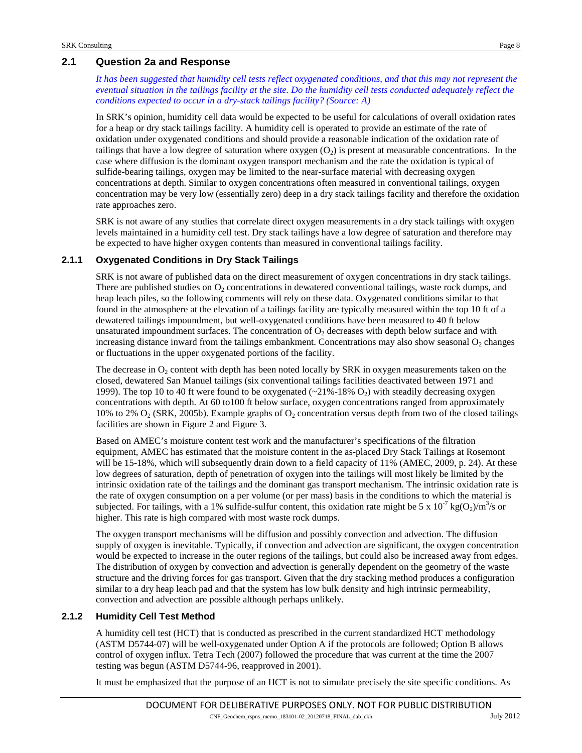# **2.1 Question 2a and Response**

*It has been suggested that humidity cell tests reflect oxygenated conditions, and that this may not represent the eventual situation in the tailings facility at the site. Do the humidity cell tests conducted adequately reflect the conditions expected to occur in a dry-stack tailings facility? (Source: A)*

In SRK's opinion, humidity cell data would be expected to be useful for calculations of overall oxidation rates for a heap or dry stack tailings facility. A humidity cell is operated to provide an estimate of the rate of oxidation under oxygenated conditions and should provide a reasonable indication of the oxidation rate of tailings that have a low degree of saturation where  $\alpha$ ygen  $(O_2)$  is present at measurable concentrations. In the case where diffusion is the dominant oxygen transport mechanism and the rate the oxidation is typical of sulfide-bearing tailings, oxygen may be limited to the near-surface material with decreasing oxygen concentrations at depth. Similar to oxygen concentrations often measured in conventional tailings, oxygen concentration may be very low (essentially zero) deep in a dry stack tailings facility and therefore the oxidation rate approaches zero.

SRK is not aware of any studies that correlate direct oxygen measurements in a dry stack tailings with oxygen levels maintained in a humidity cell test. Dry stack tailings have a low degree of saturation and therefore may be expected to have higher oxygen contents than measured in conventional tailings facility.

#### **2.1.1 Oxygenated Conditions in Dry Stack Tailings**

SRK is not aware of published data on the direct measurement of oxygen concentrations in dry stack tailings. There are published studies on  $O_2$  concentrations in dewatered conventional tailings, waste rock dumps, and heap leach piles, so the following comments will rely on these data. Oxygenated conditions similar to that found in the atmosphere at the elevation of a tailings facility are typically measured within the top 10 ft of a dewatered tailings impoundment, but well-oxygenated conditions have been measured to 40 ft below unsaturated impoundment surfaces. The concentration of  $O<sub>2</sub>$  decreases with depth below surface and with increasing distance inward from the tailings embankment. Concentrations may also show seasonal  $O_2$  changes or fluctuations in the upper oxygenated portions of the facility.

The decrease in  $O_2$  content with depth has been noted locally by SRK in oxygen measurements taken on the closed, dewatered San Manuel tailings (six conventional tailings facilities deactivated between 1971 and 1999). The top 10 to 40 ft were found to be oxygenated  $(\sim 21\% - 18\% O_2)$  with steadily decreasing oxygen concentrations with depth. At 60 to100 ft below surface, oxygen concentrations ranged from approximately 10% to 2%  $O_2$  (SRK, 2005b). Example graphs of  $O_2$  concentration versus depth from two of the closed tailings facilities are shown in [Figure 2](#page-8-0) and [Figure 3.](#page-8-1)

Based on AMEC's moisture content test work and the manufacturer's specifications of the filtration equipment, AMEC has estimated that the moisture content in the as-placed Dry Stack Tailings at Rosemont will be 15-18%, which will subsequently drain down to a field capacity of 11% (AMEC, 2009, p. 24). At these low degrees of saturation, depth of penetration of oxygen into the tailings will most likely be limited by the intrinsic oxidation rate of the tailings and the dominant gas transport mechanism. The intrinsic oxidation rate is the rate of oxygen consumption on a per volume (or per mass) basis in the conditions to which the material is subjected. For tailings, with a 1% sulfide-sulfur content, this oxidation rate might be 5 x  $10^{-7}$  kg(O<sub>2</sub>)/m<sup>3</sup>/s or higher. This rate is high compared with most waste rock dumps.

The oxygen transport mechanisms will be diffusion and possibly convection and advection. The diffusion supply of oxygen is inevitable. Typically, if convection and advection are significant, the oxygen concentration would be expected to increase in the outer regions of the tailings, but could also be increased away from edges. The distribution of oxygen by convection and advection is generally dependent on the geometry of the waste structure and the driving forces for gas transport. Given that the dry stacking method produces a configuration similar to a dry heap leach pad and that the system has low bulk density and high intrinsic permeability, convection and advection are possible although perhaps unlikely.

#### **2.1.2 Humidity Cell Test Method**

A humidity cell test (HCT) that is conducted as prescribed in the current standardized HCT methodology (ASTM D5744-07) will be well-oxygenated under Option A if the protocols are followed; Option B allows control of oxygen influx. Tetra Tech (2007) followed the procedure that was current at the time the 2007 testing was begun (ASTM D5744-96, reapproved in 2001).

It must be emphasized that the purpose of an HCT is not to simulate precisely the site specific conditions. As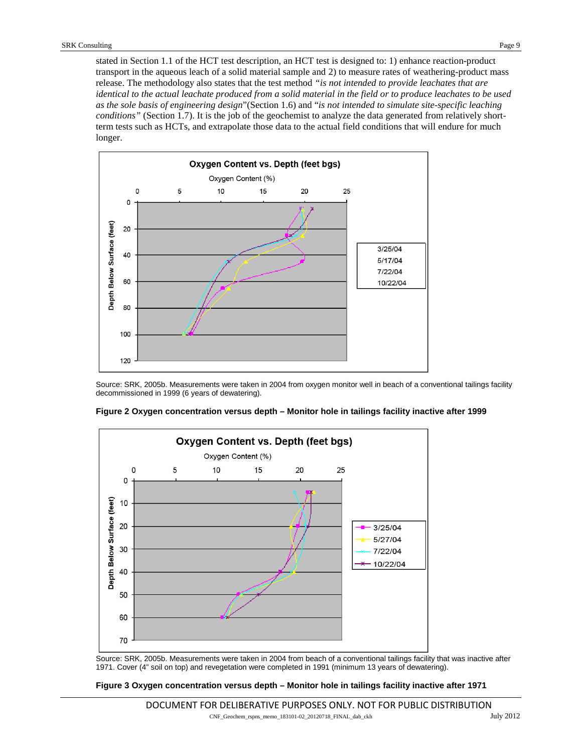stated in Section 1.1 of the HCT test description, an HCT test is designed to: 1) enhance reaction-product transport in the aqueous leach of a solid material sample and 2) to measure rates of weathering-product mass release. The methodology also states that the test method *"is not intended to provide leachates that are identical to the actual leachate produced from a solid material in the field or to produce leachates to be used as the sole basis of engineering design*"(Section 1.6) and "*is not intended to simulate site-specific leaching conditions*" (Section 1.7). It is the job of the geochemist to analyze the data generated from relatively shortterm tests such as HCTs, and extrapolate those data to the actual field conditions that will endure for much longer.



Source: SRK, 2005b. Measurements were taken in 2004 from oxygen monitor well in beach of a conventional tailings facility decommissioned in 1999 (6 years of dewatering).



<span id="page-8-0"></span>**Figure 2 Oxygen concentration versus depth – Monitor hole in tailings facility inactive after 1999**

Source: SRK, 2005b. Measurements were taken in 2004 from beach of a conventional tailings facility that was inactive after 1971. Cover (4" soil on top) and revegetation were completed in 1991 (minimum 13 years of dewatering).

#### <span id="page-8-1"></span>**Figure 3 Oxygen concentration versus depth – Monitor hole in tailings facility inactive after 1971**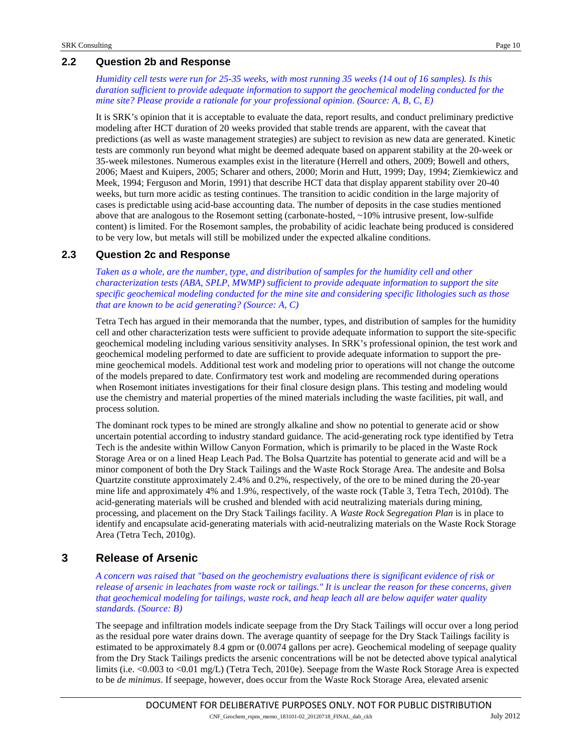# **2.2 Question 2b and Response**

*Humidity cell tests were run for 25-35 weeks, with most running 35 weeks (14 out of 16 samples). Is this duration sufficient to provide adequate information to support the geochemical modeling conducted for the mine site? Please provide a rationale for your professional opinion. (Source: A, B, C, E)*

It is SRK's opinion that it is acceptable to evaluate the data, report results, and conduct preliminary predictive modeling after HCT duration of 20 weeks provided that stable trends are apparent, with the caveat that predictions (as well as waste management strategies) are subject to revision as new data are generated. Kinetic tests are commonly run beyond what might be deemed adequate based on apparent stability at the 20-week or 35-week milestones. Numerous examples exist in the literature (Herrell and others, 2009; Bowell and others, 2006; Maest and Kuipers, 2005; Scharer and others, 2000; Morin and Hutt, 1999; Day, 1994; Ziemkiewicz and Meek, 1994; Ferguson and Morin, 1991) that describe HCT data that display apparent stability over 20-40 weeks, but turn more acidic as testing continues. The transition to acidic condition in the large majority of cases is predictable using acid-base accounting data. The number of deposits in the case studies mentioned above that are analogous to the Rosemont setting (carbonate-hosted, ~10% intrusive present, low-sulfide content) is limited. For the Rosemont samples, the probability of acidic leachate being produced is considered to be very low, but metals will still be mobilized under the expected alkaline conditions.

# **2.3 Question 2c and Response**

*Taken as a whole, are the number, type, and distribution of samples for the humidity cell and other characterization tests (ABA, SPLP, MWMP) sufficient to provide adequate information to support the site specific geochemical modeling conducted for the mine site and considering specific lithologies such as those that are known to be acid generating? (Source: A, C)*

Tetra Tech has argued in their memoranda that the number, types, and distribution of samples for the humidity cell and other characterization tests were sufficient to provide adequate information to support the site-specific geochemical modeling including various sensitivity analyses. In SRK's professional opinion, the test work and geochemical modeling performed to date are sufficient to provide adequate information to support the premine geochemical models. Additional test work and modeling prior to operations will not change the outcome of the models prepared to date. Confirmatory test work and modeling are recommended during operations when Rosemont initiates investigations for their final closure design plans. This testing and modeling would use the chemistry and material properties of the mined materials including the waste facilities, pit wall, and process solution.

The dominant rock types to be mined are strongly alkaline and show no potential to generate acid or show uncertain potential according to industry standard guidance. The acid-generating rock type identified by Tetra Tech is the andesite within Willow Canyon Formation, which is primarily to be placed in the Waste Rock Storage Area or on a lined Heap Leach Pad. The Bolsa Quartzite has potential to generate acid and will be a minor component of both the Dry Stack Tailings and the Waste Rock Storage Area. The andesite and Bolsa Quartzite constitute approximately 2.4% and 0.2%, respectively, of the ore to be mined during the 20-year mine life and approximately 4% and 1.9%, respectively, of the waste rock (Table 3, Tetra Tech, 2010d). The acid-generating materials will be crushed and blended with acid neutralizing materials during mining, processing, and placement on the Dry Stack Tailings facility. A *Waste Rock Segregation Plan* is in place to identify and encapsulate acid-generating materials with acid-neutralizing materials on the Waste Rock Storage Area (Tetra Tech, 2010g).

# **3 Release of Arsenic**

*A concern was raised that "based on the geochemistry evaluations there is significant evidence of risk or release of arsenic in leachates from waste rock or tailings." It is unclear the reason for these concerns, given that geochemical modeling for tailings, waste rock, and heap leach all are below aquifer water quality standards. (Source: B)*

The seepage and infiltration models indicate seepage from the Dry Stack Tailings will occur over a long period as the residual pore water drains down. The average quantity of seepage for the Dry Stack Tailings facility is estimated to be approximately 8.4 gpm or (0.0074 gallons per acre). Geochemical modeling of seepage quality from the Dry Stack Tailings predicts the arsenic concentrations will be not be detected above typical analytical limits (i.e. <0.003 to <0.01 mg/L) (Tetra Tech, 2010e). Seepage from the Waste Rock Storage Area is expected to be *de minimus*. If seepage, however, does occur from the Waste Rock Storage Area, elevated arsenic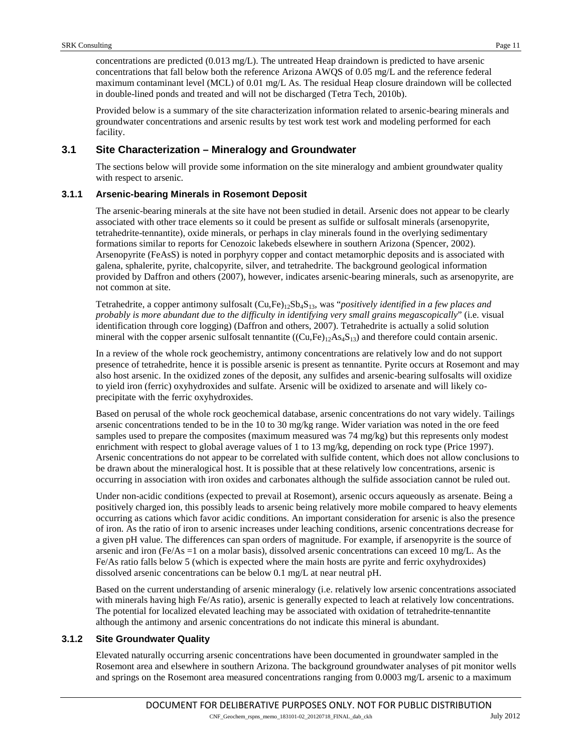concentrations are predicted (0.013 mg/L). The untreated Heap draindown is predicted to have arsenic concentrations that fall below both the reference Arizona AWQS of 0.05 mg/L and the reference federal maximum contaminant level (MCL) of 0.01 mg/L As. The residual Heap closure draindown will be collected in double-lined ponds and treated and will not be discharged (Tetra Tech, 2010b).

Provided below is a summary of the site characterization information related to arsenic-bearing minerals and groundwater concentrations and arsenic results by test work test work and modeling performed for each facility.

# **3.1 Site Characterization – Mineralogy and Groundwater**

The sections below will provide some information on the site mineralogy and ambient groundwater quality with respect to arsenic.

#### **3.1.1 Arsenic-bearing Minerals in Rosemont Deposit**

The arsenic-bearing minerals at the site have not been studied in detail. Arsenic does not appear to be clearly associated with other trace elements so it could be present as sulfide or sulfosalt minerals (arsenopyrite, tetrahedrite-tennantite), oxide minerals, or perhaps in clay minerals found in the overlying sedimentary formations similar to reports for Cenozoic lakebeds elsewhere in southern Arizona (Spencer, 2002). Arsenopyrite (FeAsS) is noted in porphyry copper and contact metamorphic deposits and is associated with galena, sphalerite, pyrite, chalcopyrite, silver, and tetrahedrite. The background geological information provided by Daffron and others (2007), however, indicates arsenic-bearing minerals, such as arsenopyrite, are not common at site.

Tetrahedrite, a copper antimony sulfosalt (Cu,Fe)12Sb4S13, was "*positively identified in a few places and probably is more abundant due to the difficulty in identifying very small grains megascopically*" (i.e. visual identification through core logging) (Daffron and others, 2007). Tetrahedrite is actually a solid solution mineral with the copper arsenic sulfosalt tennantite  $((Cu,Fe)_{12}As_4S_{13})$  and therefore could contain arsenic.

In a review of the whole rock geochemistry, antimony concentrations are relatively low and do not support presence of tetrahedrite, hence it is possible arsenic is present as tennantite. Pyrite occurs at Rosemont and may also host arsenic. In the oxidized zones of the deposit, any sulfides and arsenic-bearing sulfosalts will oxidize to yield iron (ferric) oxyhydroxides and sulfate. Arsenic will be oxidized to arsenate and will likely coprecipitate with the ferric oxyhydroxides.

Based on perusal of the whole rock geochemical database, arsenic concentrations do not vary widely. Tailings arsenic concentrations tended to be in the 10 to 30 mg/kg range. Wider variation was noted in the ore feed samples used to prepare the composites (maximum measured was 74 mg/kg) but this represents only modest enrichment with respect to global average values of 1 to 13 mg/kg, depending on rock type (Price 1997). Arsenic concentrations do not appear to be correlated with sulfide content, which does not allow conclusions to be drawn about the mineralogical host. It is possible that at these relatively low concentrations, arsenic is occurring in association with iron oxides and carbonates although the sulfide association cannot be ruled out.

Under non-acidic conditions (expected to prevail at Rosemont), arsenic occurs aqueously as arsenate. Being a positively charged ion, this possibly leads to arsenic being relatively more mobile compared to heavy elements occurring as cations which favor acidic conditions. An important consideration for arsenic is also the presence of iron. As the ratio of iron to arsenic increases under leaching conditions, arsenic concentrations decrease for a given pH value. The differences can span orders of magnitude. For example, if arsenopyrite is the source of arsenic and iron (Fe/As =1 on a molar basis), dissolved arsenic concentrations can exceed 10 mg/L. As the Fe/As ratio falls below 5 (which is expected where the main hosts are pyrite and ferric oxyhydroxides) dissolved arsenic concentrations can be below 0.1 mg/L at near neutral pH.

Based on the current understanding of arsenic mineralogy (i.e. relatively low arsenic concentrations associated with minerals having high Fe/As ratio), arsenic is generally expected to leach at relatively low concentrations. The potential for localized elevated leaching may be associated with oxidation of tetrahedrite-tennantite although the antimony and arsenic concentrations do not indicate this mineral is abundant.

#### **3.1.2 Site Groundwater Quality**

Elevated naturally occurring arsenic concentrations have been documented in groundwater sampled in the Rosemont area and elsewhere in southern Arizona. The background groundwater analyses of pit monitor wells and springs on the Rosemont area measured concentrations ranging from 0.0003 mg/L arsenic to a maximum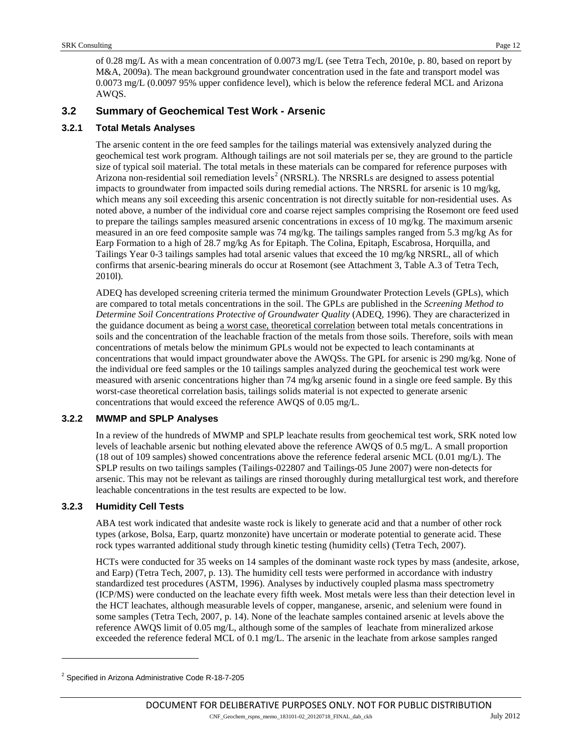of 0.28 mg/L As with a mean concentration of 0.0073 mg/L (see Tetra Tech, 2010e, p. 80, based on report by M&A, 2009a). The mean background groundwater concentration used in the fate and transport model was 0.0073 mg/L (0.0097 95% upper confidence level), which is below the reference federal MCL and Arizona AWQS.

# **3.2 Summary of Geochemical Test Work - Arsenic**

#### **3.2.1 Total Metals Analyses**

The arsenic content in the ore feed samples for the tailings material was extensively analyzed during the geochemical test work program. Although tailings are not soil materials per se, they are ground to the particle size of typical soil material. The total metals in these materials can be compared for reference purposes with Arizona non-residential soil remediation levels<sup>[2](#page-11-0)</sup> (NRSRL). The NRSRLs are designed to assess potential impacts to groundwater from impacted soils during remedial actions. The NRSRL for arsenic is 10 mg/kg, which means any soil exceeding this arsenic concentration is not directly suitable for non-residential uses. As noted above, a number of the individual core and coarse reject samples comprising the Rosemont ore feed used to prepare the tailings samples measured arsenic concentrations in excess of 10 mg/kg. The maximum arsenic measured in an ore feed composite sample was 74 mg/kg. The tailings samples ranged from 5.3 mg/kg As for Earp Formation to a high of 28.7 mg/kg As for Epitaph. The Colina, Epitaph, Escabrosa, Horquilla, and Tailings Year 0-3 tailings samples had total arsenic values that exceed the 10 mg/kg NRSRL, all of which confirms that arsenic-bearing minerals do occur at Rosemont (see Attachment 3, Table A.3 of Tetra Tech, 2010l).

ADEQ has developed screening criteria termed the minimum Groundwater Protection Levels (GPLs), which are compared to total metals concentrations in the soil. The GPLs are published in the *Screening Method to Determine Soil Concentrations Protective of Groundwater Quality* (ADEQ, 1996). They are characterized in the guidance document as being a worst case, theoretical correlation between total metals concentrations in soils and the concentration of the leachable fraction of the metals from those soils. Therefore, soils with mean concentrations of metals below the minimum GPLs would not be expected to leach contaminants at concentrations that would impact groundwater above the AWQSs. The GPL for arsenic is 290 mg/kg. None of the individual ore feed samples or the 10 tailings samples analyzed during the geochemical test work were measured with arsenic concentrations higher than 74 mg/kg arsenic found in a single ore feed sample. By this worst-case theoretical correlation basis, tailings solids material is not expected to generate arsenic concentrations that would exceed the reference AWQS of 0.05 mg/L.

#### **3.2.2 MWMP and SPLP Analyses**

In a review of the hundreds of MWMP and SPLP leachate results from geochemical test work, SRK noted low levels of leachable arsenic but nothing elevated above the reference AWQS of 0.5 mg/L. A small proportion (18 out of 109 samples) showed concentrations above the reference federal arsenic MCL (0.01 mg/L). The SPLP results on two tailings samples (Tailings-022807 and Tailings-05 June 2007) were non-detects for arsenic. This may not be relevant as tailings are rinsed thoroughly during metallurgical test work, and therefore leachable concentrations in the test results are expected to be low.

#### **3.2.3 Humidity Cell Tests**

j

ABA test work indicated that andesite waste rock is likely to generate acid and that a number of other rock types (arkose, Bolsa, Earp, quartz monzonite) have uncertain or moderate potential to generate acid. These rock types warranted additional study through kinetic testing (humidity cells) (Tetra Tech, 2007).

HCTs were conducted for 35 weeks on 14 samples of the dominant waste rock types by mass (andesite, arkose, and Earp) (Tetra Tech, 2007, p. 13). The humidity cell tests were performed in accordance with industry standardized test procedures (ASTM, 1996). Analyses by inductively coupled plasma mass spectrometry (ICP/MS) were conducted on the leachate every fifth week. Most metals were less than their detection level in the HCT leachates, although measurable levels of copper, manganese, arsenic, and selenium were found in some samples (Tetra Tech, 2007, p. 14). None of the leachate samples contained arsenic at levels above the reference AWQS limit of 0.05 mg/L, although some of the samples of leachate from mineralized arkose exceeded the reference federal MCL of 0.1 mg/L. The arsenic in the leachate from arkose samples ranged

<span id="page-11-0"></span><sup>&</sup>lt;sup>2</sup> Specified in Arizona Administrative Code R-18-7-205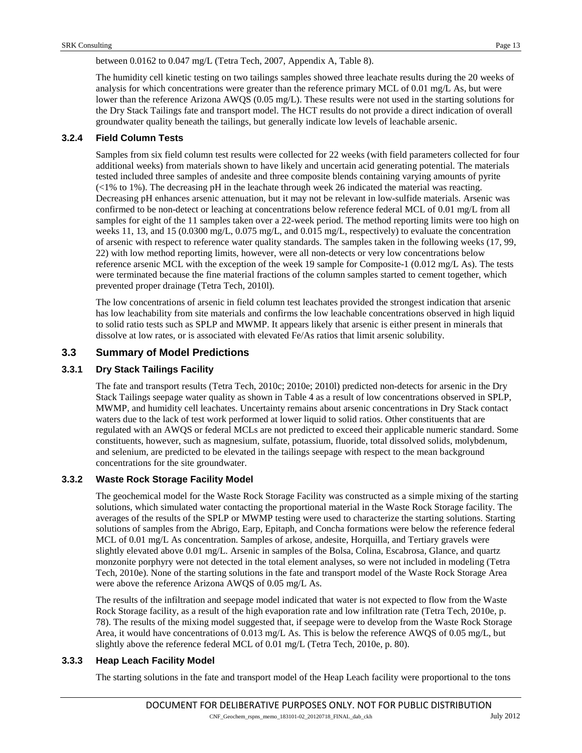between 0.0162 to 0.047 mg/L (Tetra Tech, 2007, Appendix A, Table 8).

The humidity cell kinetic testing on two tailings samples showed three leachate results during the 20 weeks of analysis for which concentrations were greater than the reference primary MCL of 0.01 mg/L As, but were lower than the reference Arizona AWQS (0.05 mg/L). These results were not used in the starting solutions for the Dry Stack Tailings fate and transport model. The HCT results do not provide a direct indication of overall groundwater quality beneath the tailings, but generally indicate low levels of leachable arsenic.

# **3.2.4 Field Column Tests**

Samples from six field column test results were collected for 22 weeks (with field parameters collected for four additional weeks) from materials shown to have likely and uncertain acid generating potential. The materials tested included three samples of andesite and three composite blends containing varying amounts of pyrite (<1% to 1%). The decreasing pH in the leachate through week 26 indicated the material was reacting. Decreasing pH enhances arsenic attenuation, but it may not be relevant in low-sulfide materials. Arsenic was confirmed to be non-detect or leaching at concentrations below reference federal MCL of 0.01 mg/L from all samples for eight of the 11 samples taken over a 22-week period. The method reporting limits were too high on weeks 11, 13, and 15 (0.0300 mg/L, 0.075 mg/L, and 0.015 mg/L, respectively) to evaluate the concentration of arsenic with respect to reference water quality standards. The samples taken in the following weeks (17, 99, 22) with low method reporting limits, however, were all non-detects or very low concentrations below reference arsenic MCL with the exception of the week 19 sample for Composite-1 (0.012 mg/L As). The tests were terminated because the fine material fractions of the column samples started to cement together, which prevented proper drainage (Tetra Tech, 2010l).

The low concentrations of arsenic in field column test leachates provided the strongest indication that arsenic has low leachability from site materials and confirms the low leachable concentrations observed in high liquid to solid ratio tests such as SPLP and MWMP. It appears likely that arsenic is either present in minerals that dissolve at low rates, or is associated with elevated Fe/As ratios that limit arsenic solubility.

# **3.3 Summary of Model Predictions**

# **3.3.1 Dry Stack Tailings Facility**

The fate and transport results (Tetra Tech, 2010c; 2010e; 2010l) predicted non-detects for arsenic in the Dry Stack Tailings seepage water quality as shown i[n Table 4](#page-13-0) as a result of low concentrations observed in SPLP, MWMP, and humidity cell leachates. Uncertainty remains about arsenic concentrations in Dry Stack contact waters due to the lack of test work performed at lower liquid to solid ratios. Other constituents that are regulated with an AWQS or federal MCLs are not predicted to exceed their applicable numeric standard. Some constituents, however, such as magnesium, sulfate, potassium, fluoride, total dissolved solids, molybdenum, and selenium, are predicted to be elevated in the tailings seepage with respect to the mean background concentrations for the site groundwater.

# **3.3.2 Waste Rock Storage Facility Model**

The geochemical model for the Waste Rock Storage Facility was constructed as a simple mixing of the starting solutions, which simulated water contacting the proportional material in the Waste Rock Storage facility. The averages of the results of the SPLP or MWMP testing were used to characterize the starting solutions. Starting solutions of samples from the Abrigo, Earp, Epitaph, and Concha formations were below the reference federal MCL of 0.01 mg/L As concentration. Samples of arkose, andesite, Horquilla, and Tertiary gravels were slightly elevated above 0.01 mg/L. Arsenic in samples of the Bolsa, Colina, Escabrosa, Glance, and quartz monzonite porphyry were not detected in the total element analyses, so were not included in modeling (Tetra Tech, 2010e). None of the starting solutions in the fate and transport model of the Waste Rock Storage Area were above the reference Arizona AWQS of 0.05 mg/L As.

The results of the infiltration and seepage model indicated that water is not expected to flow from the Waste Rock Storage facility, as a result of the high evaporation rate and low infiltration rate (Tetra Tech, 2010e, p. 78). The results of the mixing model suggested that, if seepage were to develop from the Waste Rock Storage Area, it would have concentrations of 0.013 mg/L As. This is below the reference AWQS of 0.05 mg/L, but slightly above the reference federal MCL of 0.01 mg/L (Tetra Tech, 2010e, p. 80).

#### **3.3.3 Heap Leach Facility Model**

The starting solutions in the fate and transport model of the Heap Leach facility were proportional to the tons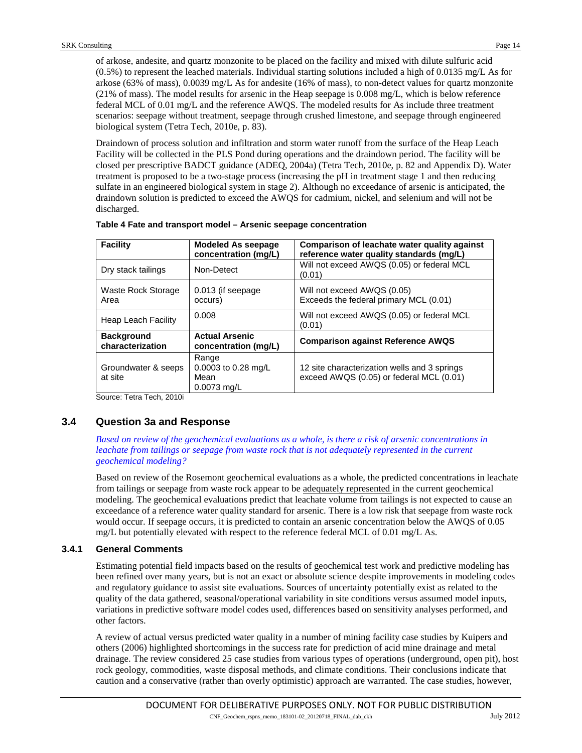of arkose, andesite, and quartz monzonite to be placed on the facility and mixed with dilute sulfuric acid (0.5%) to represent the leached materials. Individual starting solutions included a high of 0.0135 mg/L As for arkose (63% of mass), 0.0039 mg/L As for andesite (16% of mass), to non-detect values for quartz monzonite (21% of mass). The model results for arsenic in the Heap seepage is 0.008 mg/L, which is below reference federal MCL of 0.01 mg/L and the reference AWQS. The modeled results for As include three treatment scenarios: seepage without treatment, seepage through crushed limestone, and seepage through engineered biological system (Tetra Tech, 2010e, p. 83).

Draindown of process solution and infiltration and storm water runoff from the surface of the Heap Leach Facility will be collected in the PLS Pond during operations and the draindown period. The facility will be closed per prescriptive BADCT guidance (ADEQ, 2004a) (Tetra Tech, 2010e, p. 82 and Appendix D). Water treatment is proposed to be a two-stage process (increasing the pH in treatment stage 1 and then reducing sulfate in an engineered biological system in stage 2). Although no exceedance of arsenic is anticipated, the draindown solution is predicted to exceed the AWQS for cadmium, nickel, and selenium and will not be discharged.

| Facility                              | <b>Modeled As seepage</b><br>concentration (mg/L)     | Comparison of leachate water quality against<br>reference water quality standards (mg/L) |  |  |  |  |  |
|---------------------------------------|-------------------------------------------------------|------------------------------------------------------------------------------------------|--|--|--|--|--|
| Dry stack tailings                    | Non-Detect                                            | Will not exceed AWQS (0.05) or federal MCL<br>(0.01)                                     |  |  |  |  |  |
| Waste Rock Storage<br>Area            | 0.013 (if seepage)<br>occurs)                         | Will not exceed AWQS (0.05)<br>Exceeds the federal primary MCL (0.01)                    |  |  |  |  |  |
| Heap Leach Facility                   | 0.008                                                 | Will not exceed AWQS (0.05) or federal MCL<br>(0.01)                                     |  |  |  |  |  |
| <b>Background</b><br>characterization | <b>Actual Arsenic</b><br>concentration (mg/L)         | <b>Comparison against Reference AWQS</b>                                                 |  |  |  |  |  |
| Groundwater & seeps<br>at site        | Range<br>0.0003 to 0.28 mg/L<br>Mean<br>$0.0073$ mg/L | 12 site characterization wells and 3 springs<br>exceed AWQS (0.05) or federal MCL (0.01) |  |  |  |  |  |

<span id="page-13-0"></span>**Table 4 Fate and transport model – Arsenic seepage concentration**

Source: Tetra Tech, 2010i

# **3.4 Question 3a and Response**

*Based on review of the geochemical evaluations as a whole, is there a risk of arsenic concentrations in leachate from tailings or seepage from waste rock that is not adequately represented in the current geochemical modeling?*

Based on review of the Rosemont geochemical evaluations as a whole, the predicted concentrations in leachate from tailings or seepage from waste rock appear to be adequately represented in the current geochemical modeling. The geochemical evaluations predict that leachate volume from tailings is not expected to cause an exceedance of a reference water quality standard for arsenic. There is a low risk that seepage from waste rock would occur. If seepage occurs, it is predicted to contain an arsenic concentration below the AWQS of 0.05 mg/L but potentially elevated with respect to the reference federal MCL of 0.01 mg/L As.

#### **3.4.1 General Comments**

Estimating potential field impacts based on the results of geochemical test work and predictive modeling has been refined over many years, but is not an exact or absolute science despite improvements in modeling codes and regulatory guidance to assist site evaluations. Sources of uncertainty potentially exist as related to the quality of the data gathered, seasonal/operational variability in site conditions versus assumed model inputs, variations in predictive software model codes used, differences based on sensitivity analyses performed, and other factors.

A review of actual versus predicted water quality in a number of mining facility case studies by Kuipers and others (2006) highlighted shortcomings in the success rate for prediction of acid mine drainage and metal drainage. The review considered 25 case studies from various types of operations (underground, open pit), host rock geology, commodities, waste disposal methods, and climate conditions. Their conclusions indicate that caution and a conservative (rather than overly optimistic) approach are warranted. The case studies, however,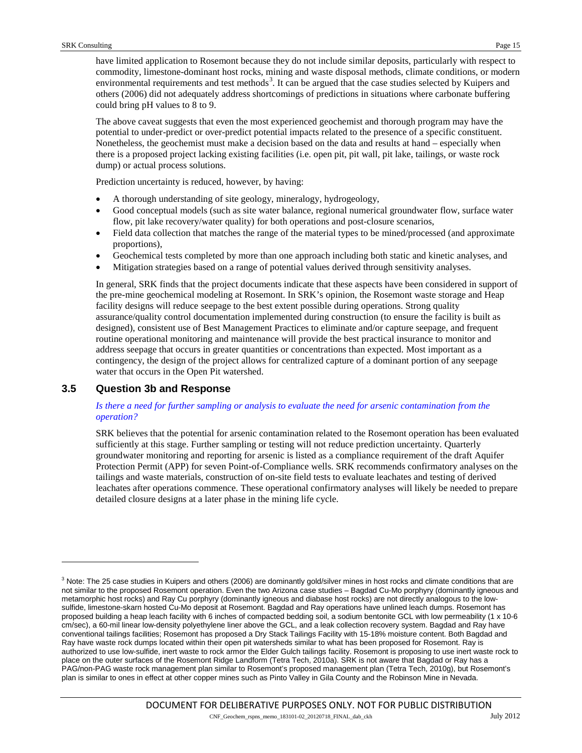have limited application to Rosemont because they do not include similar deposits, particularly with respect to commodity, limestone-dominant host rocks, mining and waste disposal methods, climate conditions, or modern environmental requirements and test methods<sup>[3](#page-14-0)</sup>. It can be argued that the case studies selected by Kuipers and others (2006) did not adequately address shortcomings of predictions in situations where carbonate buffering could bring pH values to 8 to 9.

The above caveat suggests that even the most experienced geochemist and thorough program may have the potential to under-predict or over-predict potential impacts related to the presence of a specific constituent. Nonetheless, the geochemist must make a decision based on the data and results at hand – especially when there is a proposed project lacking existing facilities (i.e. open pit, pit wall, pit lake, tailings, or waste rock dump) or actual process solutions.

Prediction uncertainty is reduced, however, by having:

- A thorough understanding of site geology, mineralogy, hydrogeology,
- Good conceptual models (such as site water balance, regional numerical groundwater flow, surface water flow, pit lake recovery/water quality) for both operations and post-closure scenarios,
- Field data collection that matches the range of the material types to be mined/processed (and approximate proportions),
- Geochemical tests completed by more than one approach including both static and kinetic analyses, and
- Mitigation strategies based on a range of potential values derived through sensitivity analyses.

In general, SRK finds that the project documents indicate that these aspects have been considered in support of the pre-mine geochemical modeling at Rosemont. In SRK's opinion, the Rosemont waste storage and Heap facility designs will reduce seepage to the best extent possible during operations. Strong quality assurance/quality control documentation implemented during construction (to ensure the facility is built as designed), consistent use of Best Management Practices to eliminate and/or capture seepage, and frequent routine operational monitoring and maintenance will provide the best practical insurance to monitor and address seepage that occurs in greater quantities or concentrations than expected. Most important as a contingency, the design of the project allows for centralized capture of a dominant portion of any seepage water that occurs in the Open Pit watershed.

# **3.5 Question 3b and Response**

j

#### *Is there a need for further sampling or analysis to evaluate the need for arsenic contamination from the operation?*

SRK believes that the potential for arsenic contamination related to the Rosemont operation has been evaluated sufficiently at this stage. Further sampling or testing will not reduce prediction uncertainty. Quarterly groundwater monitoring and reporting for arsenic is listed as a compliance requirement of the draft Aquifer Protection Permit (APP) for seven Point-of-Compliance wells. SRK recommends confirmatory analyses on the tailings and waste materials, construction of on-site field tests to evaluate leachates and testing of derived leachates after operations commence. These operational confirmatory analyses will likely be needed to prepare detailed closure designs at a later phase in the mining life cycle.

<span id="page-14-0"></span> $3$  Note: The 25 case studies in Kuipers and others (2006) are dominantly gold/silver mines in host rocks and climate conditions that are not similar to the proposed Rosemont operation. Even the two Arizona case studies – Bagdad Cu-Mo porphyry (dominantly igneous and metamorphic host rocks) and Ray Cu porphyry (dominantly igneous and diabase host rocks) are not directly analogous to the lowsulfide, limestone-skarn hosted Cu-Mo deposit at Rosemont. Bagdad and Ray operations have unlined leach dumps. Rosemont has proposed building a heap leach facility with 6 inches of compacted bedding soil, a sodium bentonite GCL with low permeability (1 x 10-6 cm/sec), a 60-mil linear low-density polyethylene liner above the GCL, and a leak collection recovery system. Bagdad and Ray have conventional tailings facilities; Rosemont has proposed a Dry Stack Tailings Facility with 15-18% moisture content. Both Bagdad and Ray have waste rock dumps located within their open pit watersheds similar to what has been proposed for Rosemont. Ray is authorized to use low-sulfide, inert waste to rock armor the Elder Gulch tailings facility. Rosemont is proposing to use inert waste rock to place on the outer surfaces of the Rosemont Ridge Landform (Tetra Tech, 2010a). SRK is not aware that Bagdad or Ray has a PAG/non-PAG waste rock management plan similar to Rosemont's proposed management plan (Tetra Tech, 2010g), but Rosemont's plan is similar to ones in effect at other copper mines such as Pinto Valley in Gila County and the Robinson Mine in Nevada.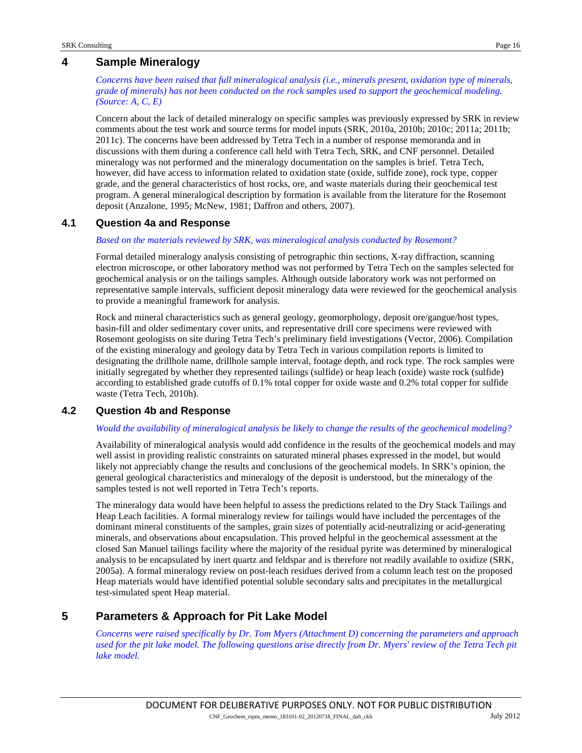# **4 Sample Mineralogy**

*Concerns have been raised that full mineralogical analysis (i.e., minerals present, oxidation type of minerals, grade of minerals) has not been conducted on the rock samples used to support the geochemical modeling. (Source: A, C, E)*

Concern about the lack of detailed mineralogy on specific samples was previously expressed by SRK in review comments about the test work and source terms for model inputs (SRK, 2010a, 2010b; 2010c; 2011a; 2011b; 2011c). The concerns have been addressed by Tetra Tech in a number of response memoranda and in discussions with them during a conference call held with Tetra Tech, SRK, and CNF personnel. Detailed mineralogy was not performed and the mineralogy documentation on the samples is brief. Tetra Tech, however, did have access to information related to oxidation state (oxide, sulfide zone), rock type, copper grade, and the general characteristics of host rocks, ore, and waste materials during their geochemical test program. A general mineralogical description by formation is available from the literature for the Rosemont deposit (Anzalone, 1995; McNew, 1981; Daffron and others, 2007).

# **4.1 Question 4a and Response**

#### *Based on the materials reviewed by SRK, was mineralogical analysis conducted by Rosemont?*

Formal detailed mineralogy analysis consisting of petrographic thin sections, X-ray diffraction, scanning electron microscope, or other laboratory method was not performed by Tetra Tech on the samples selected for geochemical analysis or on the tailings samples. Although outside laboratory work was not performed on representative sample intervals, sufficient deposit mineralogy data were reviewed for the geochemical analysis to provide a meaningful framework for analysis.

Rock and mineral characteristics such as general geology, geomorphology, deposit ore/gangue/host types, basin-fill and older sedimentary cover units, and representative drill core specimens were reviewed with Rosemont geologists on site during Tetra Tech's preliminary field investigations (Vector, 2006). Compilation of the existing mineralogy and geology data by Tetra Tech in various compilation reports is limited to designating the drillhole name, drillhole sample interval, footage depth, and rock type. The rock samples were initially segregated by whether they represented tailings (sulfide) or heap leach (oxide) waste rock (sulfide) according to established grade cutoffs of 0.1% total copper for oxide waste and 0.2% total copper for sulfide waste (Tetra Tech, 2010h).

# **4.2 Question 4b and Response**

#### *Would the availability of mineralogical analysis be likely to change the results of the geochemical modeling?*

Availability of mineralogical analysis would add confidence in the results of the geochemical models and may well assist in providing realistic constraints on saturated mineral phases expressed in the model, but would likely not appreciably change the results and conclusions of the geochemical models. In SRK's opinion, the general geological characteristics and mineralogy of the deposit is understood, but the mineralogy of the samples tested is not well reported in Tetra Tech's reports.

The mineralogy data would have been helpful to assess the predictions related to the Dry Stack Tailings and Heap Leach facilities. A formal mineralogy review for tailings would have included the percentages of the dominant mineral constituents of the samples, grain sizes of potentially acid-neutralizing or acid-generating minerals, and observations about encapsulation. This proved helpful in the geochemical assessment at the closed San Manuel tailings facility where the majority of the residual pyrite was determined by mineralogical analysis to be encapsulated by inert quartz and feldspar and is therefore not readily available to oxidize (SRK, 2005a). A formal mineralogy review on post-leach residues derived from a column leach test on the proposed Heap materials would have identified potential soluble secondary salts and precipitates in the metallurgical test-simulated spent Heap material.

# **5 Parameters & Approach for Pit Lake Model**

*Concerns were raised specifically by Dr. Tom Myers (Attachment D) concerning the parameters and approach used for the pit lake model. The following questions arise directly from Dr. Myers' review of the Tetra Tech pit lake model.*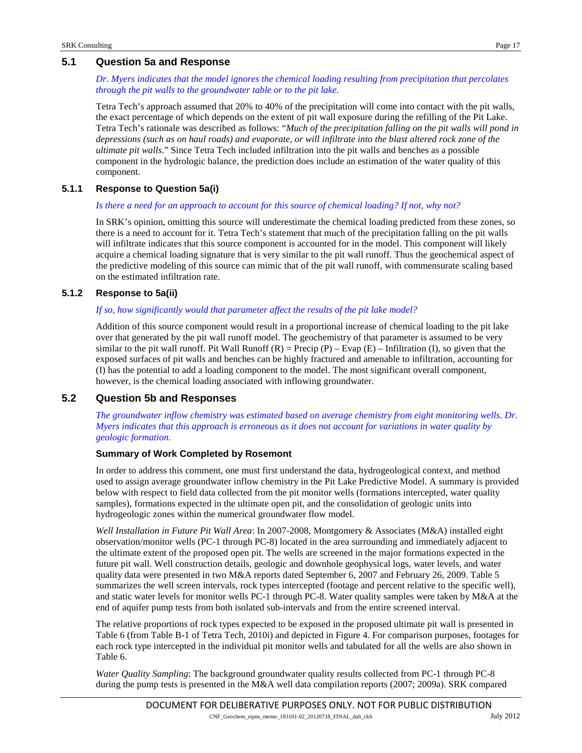# **5.1 Question 5a and Response**

#### *Dr. Myers indicates that the model ignores the chemical loading resulting from precipitation that percolates through the pit walls to the groundwater table or to the pit lake.*

Tetra Tech's approach assumed that 20% to 40% of the precipitation will come into contact with the pit walls, the exact percentage of which depends on the extent of pit wall exposure during the refilling of the Pit Lake. Tetra Tech's rationale was described as follows: "*Much of the precipitation falling on the pit walls will pond in depressions (such as on haul roads) and evaporate, or will infiltrate into the blast altered rock zone of the ultimate pit walls*." Since Tetra Tech included infiltration into the pit walls and benches as a possible component in the hydrologic balance, the prediction does include an estimation of the water quality of this component.

# **5.1.1 Response to Question 5a(i)**

#### *Is there a need for an approach to account for this source of chemical loading? If not, why not?*

In SRK's opinion, omitting this source will underestimate the chemical loading predicted from these zones, so there is a need to account for it. Tetra Tech's statement that much of the precipitation falling on the pit walls will infiltrate indicates that this source component is accounted for in the model. This component will likely acquire a chemical loading signature that is very similar to the pit wall runoff. Thus the geochemical aspect of the predictive modeling of this source can mimic that of the pit wall runoff, with commensurate scaling based on the estimated infiltration rate.

# **5.1.2 Response to 5a(ii)**

#### *If so, how significantly would that parameter affect the results of the pit lake model?*

Addition of this source component would result in a proportional increase of chemical loading to the pit lake over that generated by the pit wall runoff model. The geochemistry of that parameter is assumed to be very similar to the pit wall runoff. Pit Wall Runoff  $(R)$  = Precip  $(P)$  – Evap  $(E)$  – Infiltration  $(I)$ , so given that the exposed surfaces of pit walls and benches can be highly fractured and amenable to infiltration, accounting for (I) has the potential to add a loading component to the model. The most significant overall component, however, is the chemical loading associated with inflowing groundwater.

# **5.2 Question 5b and Responses**

*The groundwater inflow chemistry was estimated based on average chemistry from eight monitoring wells. Dr. Myers indicates that this approach is erroneous as it does not account for variations in water quality by geologic formation.*

#### **Summary of Work Completed by Rosemont**

In order to address this comment, one must first understand the data, hydrogeological context, and method used to assign average groundwater inflow chemistry in the Pit Lake Predictive Model. A summary is provided below with respect to field data collected from the pit monitor wells (formations intercepted, water quality samples), formations expected in the ultimate open pit, and the consolidation of geologic units into hydrogeologic zones within the numerical groundwater flow model.

*Well Installation in Future Pit Wall Area*: In 2007-2008, Montgomery & Associates (M&A) installed eight observation/monitor wells (PC-1 through PC-8) located in the area surrounding and immediately adjacent to the ultimate extent of the proposed open pit. The wells are screened in the major formations expected in the future pit wall. Well construction details, geologic and downhole geophysical logs, water levels, and water quality data were presented in two M&A reports dated September 6, 2007 and February 26, 2009. [Table 5](#page-19-0) summarizes the well screen intervals, rock types intercepted (footage and percent relative to the specific well), and static water levels for monitor wells PC-1 through PC-8. Water quality samples were taken by M&A at the end of aquifer pump tests from both isolated sub-intervals and from the entire screened interval.

The relative proportions of rock types expected to be exposed in the proposed ultimate pit wall is presented in [Table 6](#page-20-0) (from Table B-1 of Tetra Tech, 2010i) and depicted in [Figure 4.](#page-18-0) For comparison purposes, footages for each rock type intercepted in the individual pit monitor wells and tabulated for all the wells are also shown in [Table 6.](#page-20-0)

*Water Quality Sampling*: The background groundwater quality results collected from PC-1 through PC-8 during the pump tests is presented in the M&A well data compilation reports (2007; 2009a). SRK compared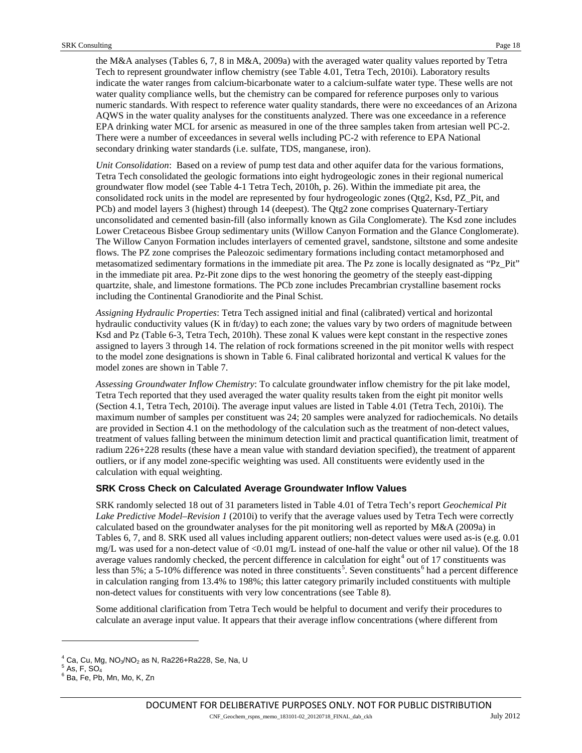the M&A analyses (Tables 6, 7, 8 in M&A, 2009a) with the averaged water quality values reported by Tetra Tech to represent groundwater inflow chemistry (see Table 4.01, Tetra Tech, 2010i). Laboratory results indicate the water ranges from calcium-bicarbonate water to a calcium-sulfate water type. These wells are not water quality compliance wells, but the chemistry can be compared for reference purposes only to various numeric standards. With respect to reference water quality standards, there were no exceedances of an Arizona AQWS in the water quality analyses for the constituents analyzed. There was one exceedance in a reference EPA drinking water MCL for arsenic as measured in one of the three samples taken from artesian well PC-2. There were a number of exceedances in several wells including PC-2 with reference to EPA National secondary drinking water standards (i.e. sulfate, TDS, manganese, iron).

*Unit Consolidation*: Based on a review of pump test data and other aquifer data for the various formations, Tetra Tech consolidated the geologic formations into eight hydrogeologic zones in their regional numerical groundwater flow model (see Table 4-1 Tetra Tech, 2010h, p. 26). Within the immediate pit area, the consolidated rock units in the model are represented by four hydrogeologic zones (Qtg2, Ksd, PZ\_Pit, and PCb) and model layers 3 (highest) through 14 (deepest). The Qtg2 zone comprises Quaternary-Tertiary unconsolidated and cemented basin-fill (also informally known as Gila Conglomerate). The Ksd zone includes Lower Cretaceous Bisbee Group sedimentary units (Willow Canyon Formation and the Glance Conglomerate). The Willow Canyon Formation includes interlayers of cemented gravel, sandstone, siltstone and some andesite flows. The PZ zone comprises the Paleozoic sedimentary formations including contact metamorphosed and metasomatized sedimentary formations in the immediate pit area. The Pz zone is locally designated as "Pz\_Pit" in the immediate pit area. Pz-Pit zone dips to the west honoring the geometry of the steeply east-dipping quartzite, shale, and limestone formations. The PCb zone includes Precambrian crystalline basement rocks including the Continental Granodiorite and the Pinal Schist.

*Assigning Hydraulic Properties*: Tetra Tech assigned initial and final (calibrated) vertical and horizontal hydraulic conductivity values (K in ft/day) to each zone; the values vary by two orders of magnitude between Ksd and Pz (Table 6-3, Tetra Tech, 2010h). These zonal K values were kept constant in the respective zones assigned to layers 3 through 14. The relation of rock formations screened in the pit monitor wells with respect to the model zone designations is shown in [Table 6.](#page-20-0) Final calibrated horizontal and vertical K values for the model zones are shown in [Table 7.](#page-20-1)

*Assessing Groundwater Inflow Chemistry*: To calculate groundwater inflow chemistry for the pit lake model, Tetra Tech reported that they used averaged the water quality results taken from the eight pit monitor wells (Section 4.1, Tetra Tech, 2010i). The average input values are listed in Table 4.01 (Tetra Tech, 2010i). The maximum number of samples per constituent was 24; 20 samples were analyzed for radiochemicals. No details are provided in Section 4.1 on the methodology of the calculation such as the treatment of non-detect values, treatment of values falling between the minimum detection limit and practical quantification limit, treatment of radium 226+228 results (these have a mean value with standard deviation specified), the treatment of apparent outliers, or if any model zone-specific weighting was used. All constituents were evidently used in the calculation with equal weighting.

#### **SRK Cross Check on Calculated Average Groundwater Inflow Values**

SRK randomly selected 18 out of 31 parameters listed in Table 4.01 of Tetra Tech's report *Geochemical Pit Lake Predictive Model–Revision 1* (2010i) to verify that the average values used by Tetra Tech were correctly calculated based on the groundwater analyses for the pit monitoring well as reported by M&A (2009a) in Tables 6, 7, and 8. SRK used all values including apparent outliers; non-detect values were used as-is (e.g. 0.01 mg/L was used for a non-detect value of <0.01 mg/L instead of one-half the value or other nil value). Of the 18 average values randomly checked, the percent difference in calculation for eight<sup>[4](#page-17-0)</sup> out of 17 constituents was less than [5](#page-17-1)%; a 5-10% difference was noted in three constituents<sup>5</sup>. Seven constituents<sup>[6](#page-17-2)</sup> had a percent difference in calculation ranging from 13.4% to 198%; this latter category primarily included constituents with multiple non-detect values for constituents with very low concentrations (see [Table 8\)](#page-21-0).

Some additional clarification from Tetra Tech would be helpful to document and verify their procedures to calculate an average input value. It appears that their average inflow concentrations (where different from

j

<span id="page-17-1"></span><span id="page-17-0"></span><sup>&</sup>lt;sup>4</sup> Ca, Cu, Mg, NO<sub>3</sub>/NO<sub>2</sub> as N, Ra226+Ra228, Se, Na, U<br><sup>5</sup> As, F, SO<sub>4</sub><br><sup>6</sup> Ba, Fe, Pb, Mn, Mo, K, Zn

<span id="page-17-2"></span>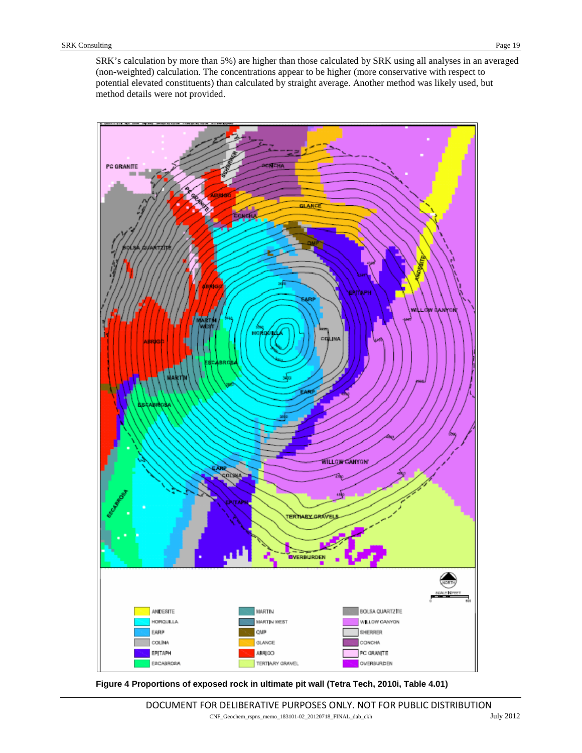SRK's calculation by more than 5%) are higher than those calculated by SRK using all analyses in an averaged (non-weighted) calculation. The concentrations appear to be higher (more conservative with respect to potential elevated constituents) than calculated by straight average. Another method was likely used, but method details were not provided.



<span id="page-18-0"></span>**Figure 4 Proportions of exposed rock in ultimate pit wall (Tetra Tech, 2010i, Table 4.01)**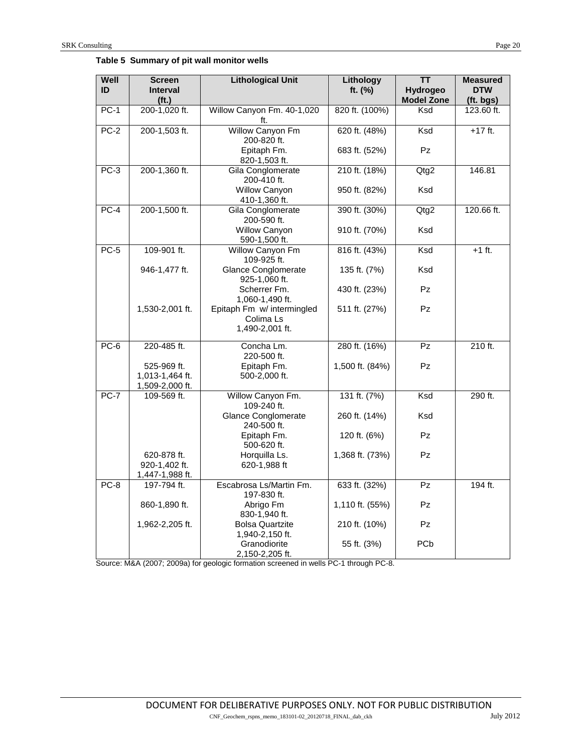<span id="page-19-0"></span>

|  | Table 5 Summary of pit wall monitor wells |  |  |  |
|--|-------------------------------------------|--|--|--|
|--|-------------------------------------------|--|--|--|

| Well<br>ID | <b>Screen</b><br><b>Interval</b> | <b>Lithological Unit</b>                      | Lithology<br>ft. (%) | <b>TT</b><br>Hydrogeo | <b>Measured</b><br><b>DTW</b> |
|------------|----------------------------------|-----------------------------------------------|----------------------|-----------------------|-------------------------------|
|            | (f <sub>t</sub> )                |                                               |                      | <b>Model Zone</b>     | (ft. bgs)                     |
| $PC-1$     | 200-1,020 ft.                    | Willow Canyon Fm. 40-1,020                    | 820 ft. (100%)       | Ksd                   | 123.60 ft.                    |
|            |                                  | ft.                                           |                      |                       |                               |
| $PC-2$     | 200-1,503 ft.                    | Willow Canyon Fm                              | 620 ft. (48%)        | Ksd                   | $+17$ ft.                     |
|            |                                  | 200-820 ft.<br>Epitaph Fm.                    | 683 ft. (52%)        | Pz                    |                               |
|            |                                  | 820-1,503 ft.                                 |                      |                       |                               |
| $PC-3$     | 200-1,360 ft.                    | Gila Conglomerate                             | 210 ft. (18%)        | Qtg2                  | 146.81                        |
|            |                                  | 200-410 ft.                                   |                      |                       |                               |
|            |                                  | Willow Canyon                                 | 950 ft. (82%)        | Ksd                   |                               |
|            |                                  | 410-1,360 ft.                                 |                      |                       |                               |
| $PC-4$     | 200-1,500 ft.                    | Gila Conglomerate                             | 390 ft. (30%)        | Qtg2                  | 120.66 ft.                    |
|            |                                  | 200-590 ft.<br>Willow Canyon                  | 910 ft. (70%)        | Ksd                   |                               |
|            |                                  | 590-1,500 ft.                                 |                      |                       |                               |
| $PC-5$     | 109-901 ft.                      | Willow Canyon Fm                              | 816 ft. (43%)        | Ksd                   | $+1$ ft.                      |
|            |                                  | 109-925 ft.                                   |                      |                       |                               |
|            | 946-1,477 ft.                    | <b>Glance Conglomerate</b>                    | 135 ft. (7%)         | Ksd                   |                               |
|            |                                  | 925-1,060 ft.                                 |                      |                       |                               |
|            |                                  | Scherrer Fm.                                  | 430 ft. (23%)        | Pz                    |                               |
|            | 1,530-2,001 ft.                  | 1,060-1,490 ft.<br>Epitaph Fm w/ intermingled | 511 ft. (27%)        | <b>Pz</b>             |                               |
|            |                                  | Colima Ls                                     |                      |                       |                               |
|            |                                  | 1,490-2,001 ft.                               |                      |                       |                               |
|            |                                  |                                               |                      |                       |                               |
| $PC-6$     | 220-485 ft.                      | Concha Lm.<br>220-500 ft.                     | 280 ft. (16%)        | <b>Pz</b>             | 210 ft.                       |
|            | 525-969 ft.                      | Epitaph Fm.                                   | 1,500 ft. (84%)      | Pz                    |                               |
|            | 1,013-1,464 ft.                  | 500-2,000 ft.                                 |                      |                       |                               |
|            | 1,509-2,000 ft.                  |                                               |                      |                       |                               |
| $PC-7$     | 109-569 ft.                      | Willow Canyon Fm.                             | 131 ft. $(7%)$       | Ksd                   | 290 ft.                       |
|            |                                  | 109-240 ft.                                   |                      |                       |                               |
|            |                                  | Glance Conglomerate<br>240-500 ft.            | 260 ft. (14%)        | Ksd                   |                               |
|            |                                  | Epitaph Fm.                                   | 120 ft. (6%)         | Pz                    |                               |
|            |                                  | 500-620 ft.                                   |                      |                       |                               |
|            | 620-878 ft.                      | Horquilla Ls.                                 | 1,368 ft. (73%)      | Pz                    |                               |
|            | 920-1,402 ft.                    | 620-1,988 ft                                  |                      |                       |                               |
|            | 1,447-1,988 ft.                  |                                               |                      |                       |                               |
| $PC-8$     | 197-794 ft.                      | Escabrosa Ls/Martin Fm.<br>197-830 ft.        | 633 ft. (32%)        | Pz                    | 194 ft.                       |
|            | 860-1,890 ft.                    | Abrigo Fm                                     | 1,110 ft. (55%)      | Pz                    |                               |
|            |                                  | 830-1,940 ft.                                 |                      |                       |                               |
|            | 1,962-2,205 ft.                  | <b>Bolsa Quartzite</b>                        | 210 ft. (10%)        | Pz.                   |                               |
|            |                                  | 1,940-2,150 ft.                               |                      |                       |                               |
|            |                                  | Granodiorite<br>2,150-2,205 ft.               | 55 ft. (3%)          | PCb                   |                               |
|            |                                  |                                               |                      |                       |                               |

Source: M&A (2007; 2009a) for geologic formation screened in wells PC-1 through PC-8.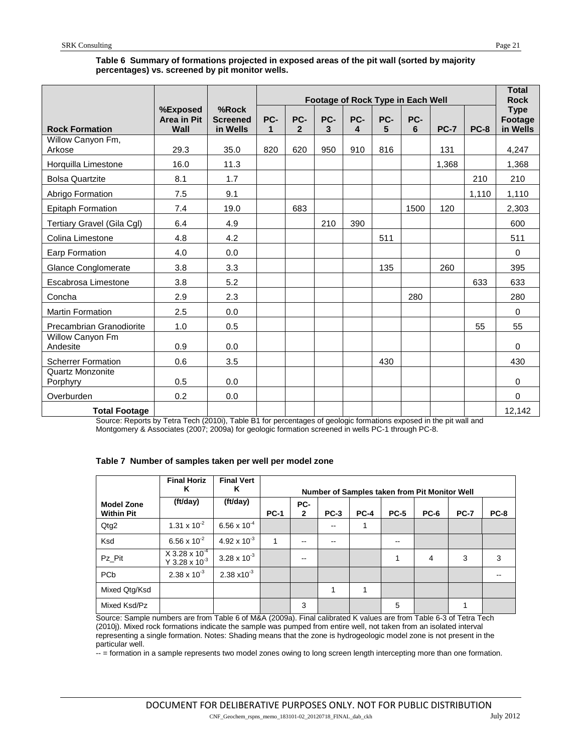# **Table 6 Summary of formations projected in exposed areas of the pit wall (sorted by majority percentages) vs. screened by pit monitor wells.**

<span id="page-20-0"></span>

|                              |                                 |                                      |          |                       |          |          |          | Footage of Rock Type in Each Well |             |             | <b>Total</b><br><b>Rock</b>        |
|------------------------------|---------------------------------|--------------------------------------|----------|-----------------------|----------|----------|----------|-----------------------------------|-------------|-------------|------------------------------------|
| <b>Rock Formation</b>        | %Exposed<br>Area in Pit<br>Wall | %Rock<br><b>Screened</b><br>in Wells | PC-<br>1 | PC-<br>$\overline{2}$ | PC-<br>3 | PC-<br>4 | PC-<br>5 | PC-<br>6                          | <b>PC-7</b> | <b>PC-8</b> | <b>Type</b><br>Footage<br>in Wells |
| Willow Canyon Fm,<br>Arkose  | 29.3                            | 35.0                                 | 820      | 620                   | 950      | 910      | 816      |                                   | 131         |             | 4,247                              |
| Horquilla Limestone          | 16.0                            | 11.3                                 |          |                       |          |          |          |                                   | 1,368       |             | 1,368                              |
| <b>Bolsa Quartzite</b>       | 8.1                             | 1.7                                  |          |                       |          |          |          |                                   |             | 210         | 210                                |
| Abrigo Formation             | 7.5                             | 9.1                                  |          |                       |          |          |          |                                   |             | 1,110       | 1,110                              |
| <b>Epitaph Formation</b>     | 7.4                             | 19.0                                 |          | 683                   |          |          |          | 1500                              | 120         |             | 2,303                              |
| Tertiary Gravel (Gila Cgl)   | 6.4                             | 4.9                                  |          |                       | 210      | 390      |          |                                   |             |             | 600                                |
| Colina Limestone             | 4.8                             | 4.2                                  |          |                       |          |          | 511      |                                   |             |             | 511                                |
| <b>Earp Formation</b>        | 4.0                             | 0.0                                  |          |                       |          |          |          |                                   |             |             | $\Omega$                           |
| <b>Glance Conglomerate</b>   | 3.8                             | 3.3                                  |          |                       |          |          | 135      |                                   | 260         |             | 395                                |
| Escabrosa Limestone          | 3.8                             | 5.2                                  |          |                       |          |          |          |                                   |             | 633         | 633                                |
| Concha                       | 2.9                             | 2.3                                  |          |                       |          |          |          | 280                               |             |             | 280                                |
| <b>Martin Formation</b>      | 2.5                             | 0.0                                  |          |                       |          |          |          |                                   |             |             | $\mathbf{0}$                       |
| Precambrian Granodiorite     | 1.0                             | 0.5                                  |          |                       |          |          |          |                                   |             | 55          | 55                                 |
| Willow Canyon Fm<br>Andesite | 0.9                             | 0.0                                  |          |                       |          |          |          |                                   |             |             | $\Omega$                           |
| <b>Scherrer Formation</b>    | 0.6                             | 3.5                                  |          |                       |          |          | 430      |                                   |             |             | 430                                |
| Quartz Monzonite<br>Porphyry | 0.5                             | 0.0                                  |          |                       |          |          |          |                                   |             |             | $\mathbf 0$                        |
| Overburden                   | 0.2                             | 0.0                                  |          |                       |          |          |          |                                   |             |             | 0                                  |
| <b>Total Footage</b>         |                                 |                                      |          |                       |          |          |          |                                   |             |             | 12,142                             |

Source: Reports by Tetra Tech (2010i), Table B1 for percentages of geologic formations exposed in the pit wall and Montgomery & Associates (2007; 2009a) for geologic formation screened in wells PC-1 through PC-8.

<span id="page-20-1"></span>

|  |  |  |  |  | Table 7 Number of samples taken per well per model zone |
|--|--|--|--|--|---------------------------------------------------------|
|--|--|--|--|--|---------------------------------------------------------|

|                                        | <b>Final Horiz</b><br>Κ                           | <b>Final Vert</b><br>Κ | Number of Samples taken from Pit Monitor Well |                     |        |        |             |             |             |             |  |  |
|----------------------------------------|---------------------------------------------------|------------------------|-----------------------------------------------|---------------------|--------|--------|-------------|-------------|-------------|-------------|--|--|
| <b>Model Zone</b><br><b>Within Pit</b> | (ft/day)                                          | (ft/day)               | <b>PC-1</b>                                   | PC-<br>$\mathbf{2}$ | $PC-3$ | $PC-4$ | <b>PC-5</b> | <b>PC-6</b> | <b>PC-7</b> | <b>PC-8</b> |  |  |
| Qtg2                                   | $1.31 \times 10^{-2}$                             | $6.56 \times 10^{-4}$  |                                               |                     | $- -$  | 1      |             |             |             |             |  |  |
| Ksd                                    | 6.56 x $10^{-2}$                                  | 4.92 x $10^{-3}$       | 1                                             | --                  | --     |        | --          |             |             |             |  |  |
| Pz Pit                                 | $X$ 3.28 x 10 <sup>-4</sup><br>Y 3.28 x $10^{-3}$ | $3.28 \times 10^{-3}$  |                                               | --                  |        |        | 1           | 4           | 3           | 3           |  |  |
| PC <sub>b</sub>                        | $2.38 \times 10^{-3}$                             | $2.38 \times 10^{-3}$  |                                               |                     |        |        |             |             |             |             |  |  |
| Mixed Qtg/Ksd                          |                                                   |                        |                                               |                     | 1      |        |             |             |             |             |  |  |
| Mixed Ksd/Pz                           |                                                   |                        |                                               | 3                   |        |        | 5           |             |             |             |  |  |

Source: Sample numbers are from Table 6 of M&A (2009a). Final calibrated K values are from Table 6-3 of Tetra Tech (2010j). Mixed rock formations indicate the sample was pumped from entire well, not taken from an isolated interval representing a single formation. Notes: Shading means that the zone is hydrogeologic model zone is not present in the particular well.

-- = formation in a sample represents two model zones owing to long screen length intercepting more than one formation.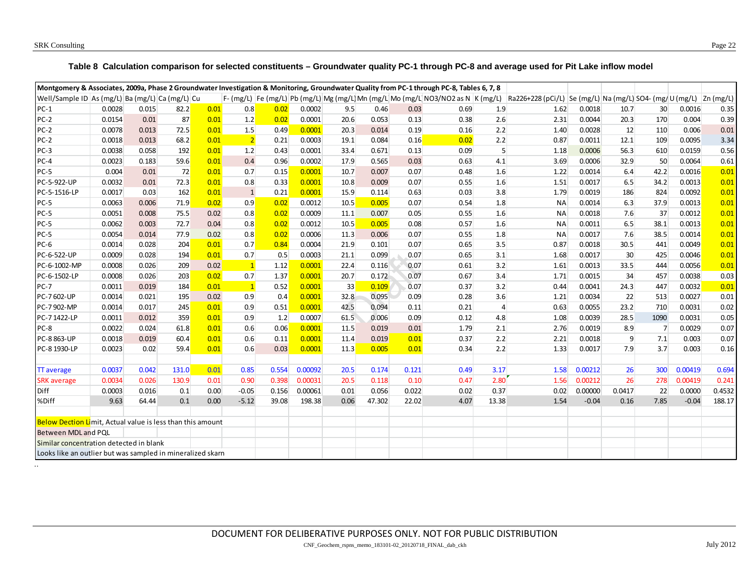..

#### **Table 8 Calculation comparison for selected constituents – Groundwater quality PC-1 through PC-8 and average used for Pit Lake inflow model**

<span id="page-21-0"></span>

| Montgomery & Associates, 2009a, Phase 2 Groundwater Investigation & Monitoring, Groundwater Quality from PC-1 through PC-8, Tables 6, 7, 8 |        |       |       |      |              |       |         |      |        |       |                                                                                      |                |                                                                           |         |        |                 |         |        |
|--------------------------------------------------------------------------------------------------------------------------------------------|--------|-------|-------|------|--------------|-------|---------|------|--------|-------|--------------------------------------------------------------------------------------|----------------|---------------------------------------------------------------------------|---------|--------|-----------------|---------|--------|
| Well/Sample ID As (mg/L) Ba (mg/L) Ca (mg/L) Cu                                                                                            |        |       |       |      |              |       |         |      |        |       | F- (mg/L)  Fe (mg/L)  Pb (mg/L)  Mg (mg/L) Mn (mg/L) Mo (mg/L NO3/NO2 as N  K (mg/L) |                | Ra226+228 (pCi/L)   Se (mg/L)   Na (mg/L)   SO4- (mg/U (mg/L)   Zn (mg/L) |         |        |                 |         |        |
| $PC-1$                                                                                                                                     | 0.0028 | 0.015 | 82.2  | 0.01 | 0.8          | 0.02  | 0.0002  | 9.5  | 0.46   | 0.03  | 0.69                                                                                 | 1.9            | 1.62                                                                      | 0.0018  | 10.7   | 30 <sup>°</sup> | 0.0016  | 0.35   |
| $PC-2$                                                                                                                                     | 0.0154 | 0.01  | 87    | 0.01 | 1.2          | 0.02  | 0.0001  | 20.6 | 0.053  | 0.13  | 0.38                                                                                 | 2.6            | 2.31                                                                      | 0.0044  | 20.3   | 170             | 0.004   | 0.39   |
| $PC-2$                                                                                                                                     | 0.0078 | 0.013 | 72.5  | 0.01 | 1.5          | 0.49  | 0.0001  | 20.3 | 0.014  | 0.19  | 0.16                                                                                 | 2.2            | 1.40                                                                      | 0.0028  | 12     | 110             | 0.006   | 0.01   |
| $PC-2$                                                                                                                                     | 0.0018 | 0.013 | 68.2  | 0.01 | 2            | 0.21  | 0.0003  | 19.1 | 0.084  | 0.16  | 0.02                                                                                 | 2.2            | 0.87                                                                      | 0.0011  | 12.1   | 109             | 0.0095  | 3.34   |
| $PC-3$                                                                                                                                     | 0.0038 | 0.058 | 192   | 0.01 | 1.2          | 0.43  | 0.0001  | 33.4 | 0.671  | 0.13  | 0.09                                                                                 | 5              | 1.18                                                                      | 0.0006  | 56.3   | 610             | 0.0159  | 0.56   |
| $PC-4$                                                                                                                                     | 0.0023 | 0.183 | 59.6  | 0.01 | 0.4          | 0.96  | 0.0002  | 17.9 | 0.565  | 0.03  | 0.63                                                                                 | 4.1            | 3.69                                                                      | 0.0006  | 32.9   | 50              | 0.0064  | 0.61   |
| $PC-5$                                                                                                                                     | 0.004  | 0.01  | 72    | 0.01 | 0.7          | 0.15  | 0.0001  | 10.7 | 0.007  | 0.07  | 0.48                                                                                 | 1.6            | 1.22                                                                      | 0.0014  | 6.4    | 42.2            | 0.0016  | 0.01   |
| PC-5-922-UP                                                                                                                                | 0.0032 | 0.01  | 72.3  | 0.01 | 0.8          | 0.33  | 0.0001  | 10.8 | 0.009  | 0.07  | 0.55                                                                                 | 1.6            | 1.51                                                                      | 0.0017  | 6.5    | 34.2            | 0.0013  | 0.01   |
| PC-5-1516-LP                                                                                                                               | 0.0017 | 0.03  | 162   | 0.01 | $\mathbf{1}$ | 0.21  | 0.0001  | 15.9 | 0.114  | 0.63  | 0.03                                                                                 | 3.8            | 1.79                                                                      | 0.0019  | 186    | 824             | 0.0092  | 0.01   |
| $PC-5$                                                                                                                                     | 0.0063 | 0.006 | 71.9  | 0.02 | 0.9          | 0.02  | 0.0012  | 10.5 | 0.005  | 0.07  | 0.54                                                                                 | 1.8            | <b>NA</b>                                                                 | 0.0014  | 6.3    | 37.9            | 0.0013  | 0.01   |
| PC-5                                                                                                                                       | 0.0051 | 0.008 | 75.5  | 0.02 | 0.8          | 0.02  | 0.0009  | 11.1 | 0.007  | 0.05  | 0.55                                                                                 | 1.6            | <b>NA</b>                                                                 | 0.0018  | 7.6    | 37              | 0.0012  | 0.01   |
| $PC-5$                                                                                                                                     | 0.0062 | 0.003 | 72.7  | 0.04 | 0.8          | 0.02  | 0.0012  | 10.5 | 0.005  | 0.08  | 0.57                                                                                 | 1.6            | <b>NA</b>                                                                 | 0.0011  | 6.5    | 38.1            | 0.0013  | 0.01   |
| $PC-5$                                                                                                                                     | 0.0054 | 0.014 | 77.9  | 0.02 | 0.8          | 0.02  | 0.0006  | 11.3 | 0.006  | 0.07  | 0.55                                                                                 | 1.8            | NA                                                                        | 0.0017  | 7.6    | 38.5            | 0.0014  | 0.01   |
| $PC-6$                                                                                                                                     | 0.0014 | 0.028 | 204   | 0.01 | 0.7          | 0.84  | 0.0004  | 21.9 | 0.101  | 0.07  | 0.65                                                                                 | 3.5            | 0.87                                                                      | 0.0018  | 30.5   | 441             | 0.0049  | 0.01   |
| PC-6-522-UP                                                                                                                                | 0.0009 | 0.028 | 194   | 0.01 | 0.7          | 0.5   | 0.0003  | 21.1 | 0.099  | 0.07  | 0.65                                                                                 | 3.1            | 1.68                                                                      | 0.0017  | 30     | 425             | 0.0046  | 0.01   |
| PC-6-1002-MP                                                                                                                               | 0.0008 | 0.026 | 209   | 0.02 | 1            | 1.12  | 0.0001  | 22.4 | 0.116  | 0.07  | 0.61                                                                                 | 3.2            | 1.61                                                                      | 0.0013  | 33.5   | 444             | 0.0056  | 0.01   |
| PC-6-1502-LP                                                                                                                               | 0.0008 | 0.026 | 203   | 0.02 | 0.7          | 1.37  | 0.0001  | 20.7 | 0.172  | 0.07  | 0.67                                                                                 | 3.4            | 1.71                                                                      | 0.0015  | 34     | 457             | 0.0038  | 0.03   |
| $PC-7$                                                                                                                                     | 0.0011 | 0.019 | 184   | 0.01 | 1            | 0.52  | 0.0001  | 33   | 0.109  | 0.07  | 0.37                                                                                 | 3.2            | 0.44                                                                      | 0.0041  | 24.3   | 447             | 0.0032  | 0.01   |
| PC-7 602-UP                                                                                                                                | 0.0014 | 0.021 | 195   | 0.02 | 0.9          | 0.4   | 0.0001  | 32.8 | 0.095  | 0.09  | 0.28                                                                                 | 3.6            | 1.21                                                                      | 0.0034  | 22     | 513             | 0.0027  | 0.01   |
| PC-7 902-MP                                                                                                                                | 0.0014 | 0.017 | 245   | 0.01 | 0.9          | 0.51  | 0.0001  | 42.5 | 0.094  | 0.11  | 0.21                                                                                 | $\overline{4}$ | 0.63                                                                      | 0.0055  | 23.2   | 710             | 0.0031  | 0.02   |
| PC-7 1422-LP                                                                                                                               | 0.0011 | 0.012 | 359   | 0.01 | 0.9          | 1.2   | 0.0007  | 61.5 | 0.006  | 0.09  | 0.12                                                                                 | 4.8            | 1.08                                                                      | 0.0039  | 28.5   | 1090            | 0.0031  | 0.05   |
| $PC-8$                                                                                                                                     | 0.0022 | 0.024 | 61.8  | 0.01 | 0.6          | 0.06  | 0.0001  | 11.5 | 0.019  | 0.01  | 1.79                                                                                 | 2.1            | 2.76                                                                      | 0.0019  | 8.9    | $\overline{7}$  | 0.0029  | 0.07   |
| PC-8 863-UP                                                                                                                                | 0.0018 | 0.019 | 60.4  | 0.01 | 0.6          | 0.11  | 0.0001  | 11.4 | 0.019  | 0.01  | 0.37                                                                                 | 2.2            | 2.21                                                                      | 0.0018  | 9      | 7.1             | 0.003   | 0.07   |
| PC-8 1930-LP                                                                                                                               | 0.0023 | 0.02  | 59.4  | 0.01 | 0.6          | 0.03  | 0.0001  | 11.3 | 0.005  | 0.01  | 0.34                                                                                 | 2.2            | 1.33                                                                      | 0.0017  | 7.9    | 3.7             | 0.003   | 0.16   |
|                                                                                                                                            |        |       |       |      |              |       |         |      |        |       |                                                                                      |                |                                                                           |         |        |                 |         |        |
| <b>TT</b> average                                                                                                                          | 0.0037 | 0.042 | 131.0 | 0.01 | 0.85         | 0.554 | 0.00092 | 20.5 | 0.174  | 0.121 | 0.49                                                                                 | 3.17           | 1.58                                                                      | 0.00212 | 26     | 300             | 0.00419 | 0.694  |
| <b>SRK</b> average                                                                                                                         | 0.0034 | 0.026 | 130.9 | 0.01 | 0.90         | 0.398 | 0.00031 | 20.5 | 0.118  | 0.10  | 0.47                                                                                 | 2.80           | 1.56                                                                      | 0.00212 | 26     | 278             | 0.00419 | 0.241  |
| Diff                                                                                                                                       | 0.0003 | 0.016 | 0.1   | 0.00 | $-0.05$      | 0.156 | 0.00061 | 0.01 | 0.056  | 0.022 | 0.02                                                                                 | 0.37           | 0.02                                                                      | 0.00000 | 0.0417 | 22              | 0.0000  | 0.4532 |
| %Diff                                                                                                                                      | 9.63   | 64.44 | 0.1   | 0.00 | $-5.12$      | 39.08 | 198.38  | 0.06 | 47.302 | 22.02 | 4.07                                                                                 | 13.38          | 1.54                                                                      | $-0.04$ | 0.16   | 7.85            | $-0.04$ | 188.17 |
|                                                                                                                                            |        |       |       |      |              |       |         |      |        |       |                                                                                      |                |                                                                           |         |        |                 |         |        |
| <b>Below Dection Li</b> mit, Actual value is less than this amount                                                                         |        |       |       |      |              |       |         |      |        |       |                                                                                      |                |                                                                           |         |        |                 |         |        |
| Between MDL and PQL                                                                                                                        |        |       |       |      |              |       |         |      |        |       |                                                                                      |                |                                                                           |         |        |                 |         |        |
| Similar concentration detected in blank                                                                                                    |        |       |       |      |              |       |         |      |        |       |                                                                                      |                |                                                                           |         |        |                 |         |        |
| Looks like an outlier but was sampled in mineralized skarn                                                                                 |        |       |       |      |              |       |         |      |        |       |                                                                                      |                |                                                                           |         |        |                 |         |        |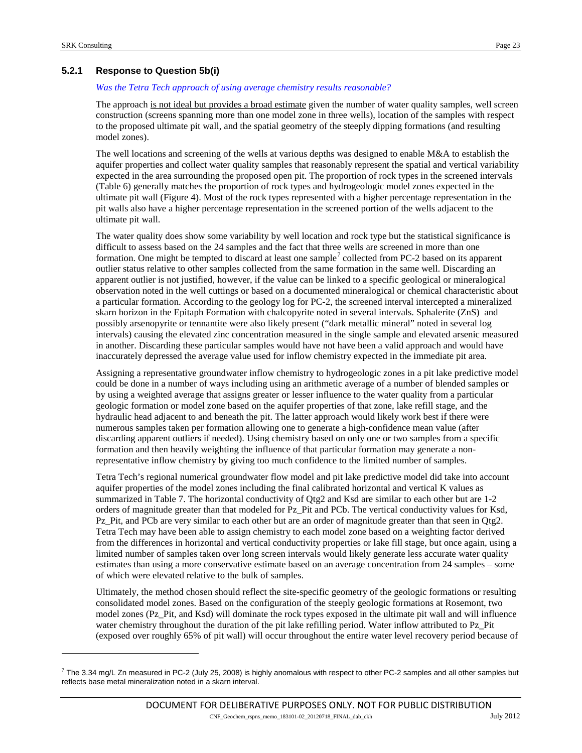-

## **5.2.1 Response to Question 5b(i)**

#### *Was the Tetra Tech approach of using average chemistry results reasonable?*

The approach is not ideal but provides a broad estimate given the number of water quality samples, well screen construction (screens spanning more than one model zone in three wells), location of the samples with respect to the proposed ultimate pit wall, and the spatial geometry of the steeply dipping formations (and resulting model zones).

The well locations and screening of the wells at various depths was designed to enable  $M&A$  to establish the aquifer properties and collect water quality samples that reasonably represent the spatial and vertical variability expected in the area surrounding the proposed open pit. The proportion of rock types in the screened intervals [\(Table 6\)](#page-20-0) generally matches the proportion of rock types and hydrogeologic model zones expected in the ultimate pit wall [\(Figure 4\)](#page-18-0). Most of the rock types represented with a higher percentage representation in the pit walls also have a higher percentage representation in the screened portion of the wells adjacent to the ultimate pit wall.

The water quality does show some variability by well location and rock type but the statistical significance is difficult to assess based on the 24 samples and the fact that three wells are screened in more than one formation. One might be tempted to discard at least one sample<sup>[7](#page-22-0)</sup> collected from PC-2 based on its apparent outlier status relative to other samples collected from the same formation in the same well. Discarding an apparent outlier is not justified, however, if the value can be linked to a specific geological or mineralogical observation noted in the well cuttings or based on a documented mineralogical or chemical characteristic about a particular formation. According to the geology log for PC-2, the screened interval intercepted a mineralized skarn horizon in the Epitaph Formation with chalcopyrite noted in several intervals. Sphalerite (ZnS) and possibly arsenopyrite or tennantite were also likely present ("dark metallic mineral" noted in several log intervals) causing the elevated zinc concentration measured in the single sample and elevated arsenic measured in another. Discarding these particular samples would have not have been a valid approach and would have inaccurately depressed the average value used for inflow chemistry expected in the immediate pit area.

Assigning a representative groundwater inflow chemistry to hydrogeologic zones in a pit lake predictive model could be done in a number of ways including using an arithmetic average of a number of blended samples or by using a weighted average that assigns greater or lesser influence to the water quality from a particular geologic formation or model zone based on the aquifer properties of that zone, lake refill stage, and the hydraulic head adjacent to and beneath the pit. The latter approach would likely work best if there were numerous samples taken per formation allowing one to generate a high-confidence mean value (after discarding apparent outliers if needed). Using chemistry based on only one or two samples from a specific formation and then heavily weighting the influence of that particular formation may generate a nonrepresentative inflow chemistry by giving too much confidence to the limited number of samples.

Tetra Tech's regional numerical groundwater flow model and pit lake predictive model did take into account aquifer properties of the model zones including the final calibrated horizontal and vertical K values as summarized i[n Table 7.](#page-20-1) The horizontal conductivity of Qtg2 and Ksd are similar to each other but are 1-2 orders of magnitude greater than that modeled for Pz\_Pit and PCb. The vertical conductivity values for Ksd, Pz Pit, and PCb are very similar to each other but are an order of magnitude greater than that seen in Qtg2. Tetra Tech may have been able to assign chemistry to each model zone based on a weighting factor derived from the differences in horizontal and vertical conductivity properties or lake fill stage, but once again, using a limited number of samples taken over long screen intervals would likely generate less accurate water quality estimates than using a more conservative estimate based on an average concentration from 24 samples – some of which were elevated relative to the bulk of samples.

Ultimately, the method chosen should reflect the site-specific geometry of the geologic formations or resulting consolidated model zones. Based on the configuration of the steeply geologic formations at Rosemont, two model zones (Pz\_Pit, and Ksd) will dominate the rock types exposed in the ultimate pit wall and will influence water chemistry throughout the duration of the pit lake refilling period. Water inflow attributed to Pz Pit (exposed over roughly 65% of pit wall) will occur throughout the entire water level recovery period because of

<span id="page-22-0"></span> $^7$  The 3.34 mg/L Zn measured in PC-2 (July 25, 2008) is highly anomalous with respect to other PC-2 samples and all other samples but reflects base metal mineralization noted in a skarn interval.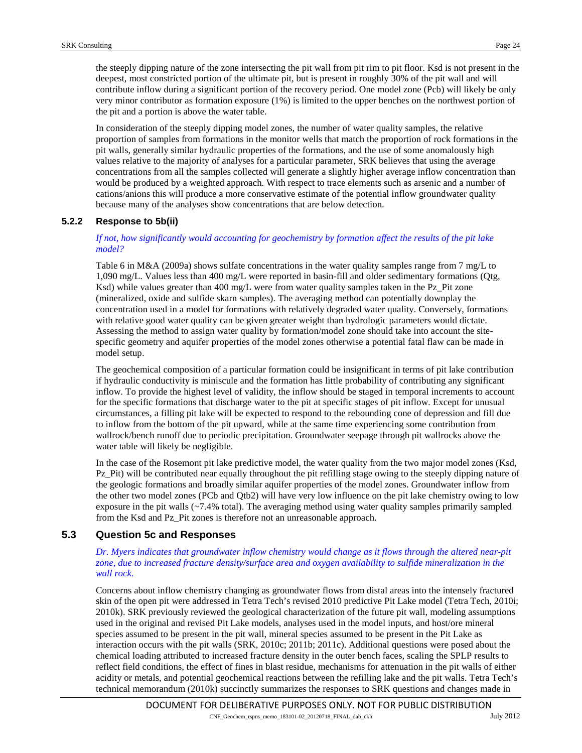the steeply dipping nature of the zone intersecting the pit wall from pit rim to pit floor. Ksd is not present in the deepest, most constricted portion of the ultimate pit, but is present in roughly 30% of the pit wall and will contribute inflow during a significant portion of the recovery period. One model zone (Pcb) will likely be only very minor contributor as formation exposure (1%) is limited to the upper benches on the northwest portion of the pit and a portion is above the water table.

In consideration of the steeply dipping model zones, the number of water quality samples, the relative proportion of samples from formations in the monitor wells that match the proportion of rock formations in the pit walls, generally similar hydraulic properties of the formations, and the use of some anomalously high values relative to the majority of analyses for a particular parameter, SRK believes that using the average concentrations from all the samples collected will generate a slightly higher average inflow concentration than would be produced by a weighted approach. With respect to trace elements such as arsenic and a number of cations/anions this will produce a more conservative estimate of the potential inflow groundwater quality because many of the analyses show concentrations that are below detection.

# **5.2.2 Response to 5b(ii)**

## *If not, how significantly would accounting for geochemistry by formation affect the results of the pit lake model?*

Table 6 in M&A (2009a) shows sulfate concentrations in the water quality samples range from 7 mg/L to 1,090 mg/L. Values less than 400 mg/L were reported in basin-fill and older sedimentary formations (Qtg, Ksd) while values greater than 400 mg/L were from water quality samples taken in the Pz\_Pit zone (mineralized, oxide and sulfide skarn samples). The averaging method can potentially downplay the concentration used in a model for formations with relatively degraded water quality. Conversely, formations with relative good water quality can be given greater weight than hydrologic parameters would dictate. Assessing the method to assign water quality by formation/model zone should take into account the sitespecific geometry and aquifer properties of the model zones otherwise a potential fatal flaw can be made in model setup.

The geochemical composition of a particular formation could be insignificant in terms of pit lake contribution if hydraulic conductivity is miniscule and the formation has little probability of contributing any significant inflow. To provide the highest level of validity, the inflow should be staged in temporal increments to account for the specific formations that discharge water to the pit at specific stages of pit inflow. Except for unusual circumstances, a filling pit lake will be expected to respond to the rebounding cone of depression and fill due to inflow from the bottom of the pit upward, while at the same time experiencing some contribution from wallrock/bench runoff due to periodic precipitation. Groundwater seepage through pit wallrocks above the water table will likely be negligible.

In the case of the Rosemont pit lake predictive model, the water quality from the two major model zones (Ksd, Pz Pit) will be contributed near equally throughout the pit refilling stage owing to the steeply dipping nature of the geologic formations and broadly similar aquifer properties of the model zones. Groundwater inflow from the other two model zones (PCb and Qtb2) will have very low influence on the pit lake chemistry owing to low exposure in the pit walls  $(-7.4\% \text{ total})$ . The averaging method using water quality samples primarily sampled from the Ksd and Pz\_Pit zones is therefore not an unreasonable approach.

# <span id="page-23-0"></span>**5.3 Question 5c and Responses**

#### *Dr. Myers indicates that groundwater inflow chemistry would change as it flows through the altered near-pit zone, due to increased fracture density/surface area and oxygen availability to sulfide mineralization in the wall rock.*

Concerns about inflow chemistry changing as groundwater flows from distal areas into the intensely fractured skin of the open pit were addressed in Tetra Tech's revised 2010 predictive Pit Lake model (Tetra Tech, 2010i; 2010k). SRK previously reviewed the geological characterization of the future pit wall, modeling assumptions used in the original and revised Pit Lake models, analyses used in the model inputs, and host/ore mineral species assumed to be present in the pit wall, mineral species assumed to be present in the Pit Lake as interaction occurs with the pit walls (SRK, 2010c; 2011b; 2011c). Additional questions were posed about the chemical loading attributed to increased fracture density in the outer bench faces, scaling the SPLP results to reflect field conditions, the effect of fines in blast residue, mechanisms for attenuation in the pit walls of either acidity or metals, and potential geochemical reactions between the refilling lake and the pit walls. Tetra Tech's technical memorandum (2010k) succinctly summarizes the responses to SRK questions and changes made in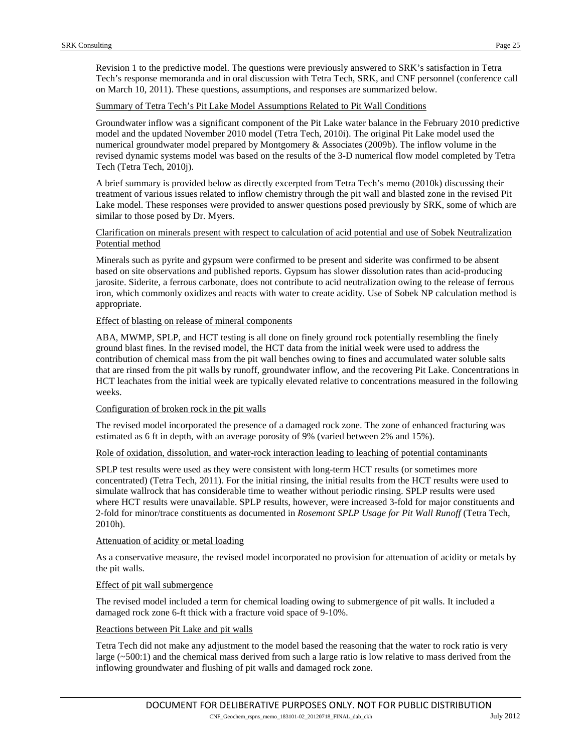Revision 1 to the predictive model. The questions were previously answered to SRK's satisfaction in Tetra Tech's response memoranda and in oral discussion with Tetra Tech, SRK, and CNF personnel (conference call on March 10, 2011). These questions, assumptions, and responses are summarized below.

#### Summary of Tetra Tech's Pit Lake Model Assumptions Related to Pit Wall Conditions

Groundwater inflow was a significant component of the Pit Lake water balance in the February 2010 predictive model and the updated November 2010 model (Tetra Tech, 2010i). The original Pit Lake model used the numerical groundwater model prepared by Montgomery & Associates (2009b). The inflow volume in the revised dynamic systems model was based on the results of the 3-D numerical flow model completed by Tetra Tech (Tetra Tech, 2010j).

A brief summary is provided below as directly excerpted from Tetra Tech's memo (2010k) discussing their treatment of various issues related to inflow chemistry through the pit wall and blasted zone in the revised Pit Lake model. These responses were provided to answer questions posed previously by SRK, some of which are similar to those posed by Dr. Myers.

#### Clarification on minerals present with respect to calculation of acid potential and use of Sobek Neutralization Potential method

Minerals such as pyrite and gypsum were confirmed to be present and siderite was confirmed to be absent based on site observations and published reports. Gypsum has slower dissolution rates than acid-producing jarosite. Siderite, a ferrous carbonate, does not contribute to acid neutralization owing to the release of ferrous iron, which commonly oxidizes and reacts with water to create acidity. Use of Sobek NP calculation method is appropriate.

#### Effect of blasting on release of mineral components

ABA, MWMP, SPLP, and HCT testing is all done on finely ground rock potentially resembling the finely ground blast fines. In the revised model, the HCT data from the initial week were used to address the contribution of chemical mass from the pit wall benches owing to fines and accumulated water soluble salts that are rinsed from the pit walls by runoff, groundwater inflow, and the recovering Pit Lake. Concentrations in HCT leachates from the initial week are typically elevated relative to concentrations measured in the following weeks.

#### Configuration of broken rock in the pit walls

The revised model incorporated the presence of a damaged rock zone. The zone of enhanced fracturing was estimated as 6 ft in depth, with an average porosity of 9% (varied between 2% and 15%).

#### Role of oxidation, dissolution, and water-rock interaction leading to leaching of potential contaminants

SPLP test results were used as they were consistent with long-term HCT results (or sometimes more concentrated) (Tetra Tech, 2011). For the initial rinsing, the initial results from the HCT results were used to simulate wallrock that has considerable time to weather without periodic rinsing. SPLP results were used where HCT results were unavailable. SPLP results, however, were increased 3-fold for major constituents and 2-fold for minor/trace constituents as documented in *Rosemont SPLP Usage for Pit Wall Runoff* (Tetra Tech, 2010h).

#### Attenuation of acidity or metal loading

As a conservative measure, the revised model incorporated no provision for attenuation of acidity or metals by the pit walls.

#### Effect of pit wall submergence

The revised model included a term for chemical loading owing to submergence of pit walls. It included a damaged rock zone 6-ft thick with a fracture void space of 9-10%.

#### Reactions between Pit Lake and pit walls

Tetra Tech did not make any adjustment to the model based the reasoning that the water to rock ratio is very large (~500:1) and the chemical mass derived from such a large ratio is low relative to mass derived from the inflowing groundwater and flushing of pit walls and damaged rock zone.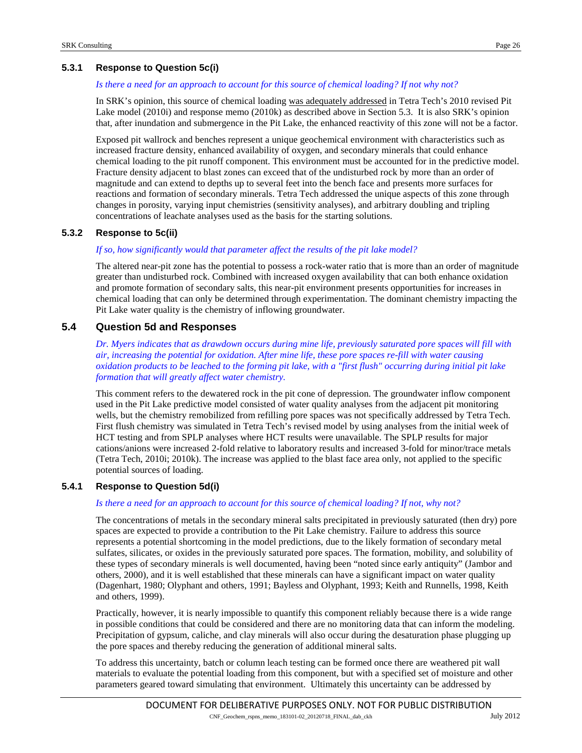# **5.3.1 Response to Question 5c(i)**

#### *Is there a need for an approach to account for this source of chemical loading? If not why not?*

In SRK's opinion, this source of chemical loading was adequately addressed in Tetra Tech's 2010 revised Pit Lake model (2010i) and response memo (2010k) as described above in Sectio[n 5.3.](#page-23-0) It is also SRK's opinion that, after inundation and submergence in the Pit Lake, the enhanced reactivity of this zone will not be a factor.

Exposed pit wallrock and benches represent a unique geochemical environment with characteristics such as increased fracture density, enhanced availability of oxygen, and secondary minerals that could enhance chemical loading to the pit runoff component. This environment must be accounted for in the predictive model. Fracture density adjacent to blast zones can exceed that of the undisturbed rock by more than an order of magnitude and can extend to depths up to several feet into the bench face and presents more surfaces for reactions and formation of secondary minerals. Tetra Tech addressed the unique aspects of this zone through changes in porosity, varying input chemistries (sensitivity analyses), and arbitrary doubling and tripling concentrations of leachate analyses used as the basis for the starting solutions.

# **5.3.2 Response to 5c(ii)**

#### *If so, how significantly would that parameter affect the results of the pit lake model?*

The altered near-pit zone has the potential to possess a rock-water ratio that is more than an order of magnitude greater than undisturbed rock. Combined with increased oxygen availability that can both enhance oxidation and promote formation of secondary salts, this near-pit environment presents opportunities for increases in chemical loading that can only be determined through experimentation. The dominant chemistry impacting the Pit Lake water quality is the chemistry of inflowing groundwater.

# **5.4 Question 5d and Responses**

*Dr. Myers indicates that as drawdown occurs during mine life, previously saturated pore spaces will fill with air, increasing the potential for oxidation. After mine life, these pore spaces re-fill with water causing oxidation products to be leached to the forming pit lake, with a "first flush" occurring during initial pit lake formation that will greatly affect water chemistry.*

This comment refers to the dewatered rock in the pit cone of depression. The groundwater inflow component used in the Pit Lake predictive model consisted of water quality analyses from the adjacent pit monitoring wells, but the chemistry remobilized from refilling pore spaces was not specifically addressed by Tetra Tech. First flush chemistry was simulated in Tetra Tech's revised model by using analyses from the initial week of HCT testing and from SPLP analyses where HCT results were unavailable. The SPLP results for major cations/anions were increased 2-fold relative to laboratory results and increased 3-fold for minor/trace metals (Tetra Tech, 2010i; 2010k). The increase was applied to the blast face area only, not applied to the specific potential sources of loading.

#### <span id="page-25-0"></span>**5.4.1 Response to Question 5d(i)**

#### *Is there a need for an approach to account for this source of chemical loading? If not, why not?*

The concentrations of metals in the secondary mineral salts precipitated in previously saturated (then dry) pore spaces are expected to provide a contribution to the Pit Lake chemistry. Failure to address this source represents a potential shortcoming in the model predictions, due to the likely formation of secondary metal sulfates, silicates, or oxides in the previously saturated pore spaces. The formation, mobility, and solubility of these types of secondary minerals is well documented, having been "noted since early antiquity" (Jambor and others, 2000), and it is well established that these minerals can have a significant impact on water quality (Dagenhart, 1980; Olyphant and others, 1991; Bayless and Olyphant, 1993; Keith and Runnells, 1998, Keith and others, 1999).

Practically, however, it is nearly impossible to quantify this component reliably because there is a wide range in possible conditions that could be considered and there are no monitoring data that can inform the modeling. Precipitation of gypsum, caliche, and clay minerals will also occur during the desaturation phase plugging up the pore spaces and thereby reducing the generation of additional mineral salts.

To address this uncertainty, batch or column leach testing can be formed once there are weathered pit wall materials to evaluate the potential loading from this component, but with a specified set of moisture and other parameters geared toward simulating that environment. Ultimately this uncertainty can be addressed by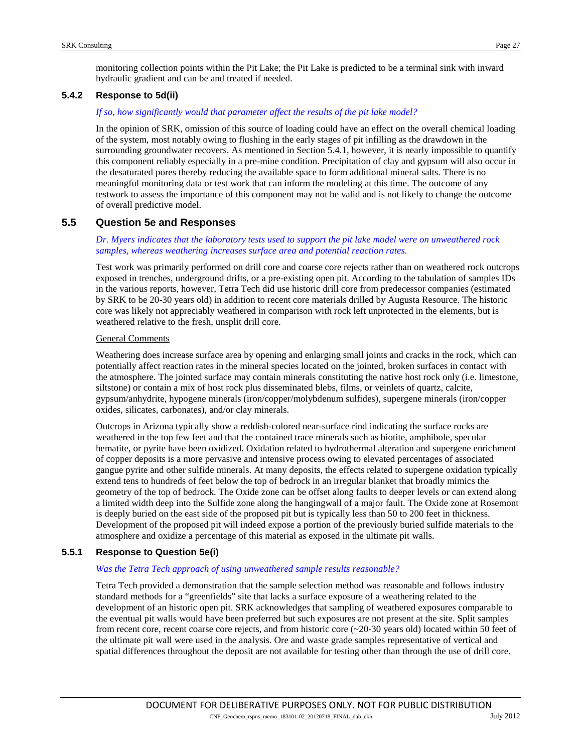### **5.4.2 Response to 5d(ii)**

#### *If so, how significantly would that parameter affect the results of the pit lake model?*

In the opinion of SRK, omission of this source of loading could have an effect on the overall chemical loading of the system, most notably owing to flushing in the early stages of pit infilling as the drawdown in the surrounding groundwater recovers. As mentioned in Sectio[n 5.4.1,](#page-25-0) however, it is nearly impossible to quantify this component reliably especially in a pre-mine condition. Precipitation of clay and gypsum will also occur in the desaturated pores thereby reducing the available space to form additional mineral salts. There is no meaningful monitoring data or test work that can inform the modeling at this time. The outcome of any testwork to assess the importance of this component may not be valid and is not likely to change the outcome of overall predictive model.

# **5.5 Question 5e and Responses**

#### *Dr. Myers indicates that the laboratory tests used to support the pit lake model were on unweathered rock samples, whereas weathering increases surface area and potential reaction rates.*

Test work was primarily performed on drill core and coarse core rejects rather than on weathered rock outcrops exposed in trenches, underground drifts, or a pre-existing open pit. According to the tabulation of samples IDs in the various reports, however, Tetra Tech did use historic drill core from predecessor companies (estimated by SRK to be 20-30 years old) in addition to recent core materials drilled by Augusta Resource. The historic core was likely not appreciably weathered in comparison with rock left unprotected in the elements, but is weathered relative to the fresh, unsplit drill core.

#### General Comments

Weathering does increase surface area by opening and enlarging small joints and cracks in the rock, which can potentially affect reaction rates in the mineral species located on the jointed, broken surfaces in contact with the atmosphere. The jointed surface may contain minerals constituting the native host rock only (i.e. limestone, siltstone) or contain a mix of host rock plus disseminated blebs, films, or veinlets of quartz, calcite, gypsum/anhydrite, hypogene minerals (iron/copper/molybdenum sulfides), supergene minerals (iron/copper oxides, silicates, carbonates), and/or clay minerals.

Outcrops in Arizona typically show a reddish-colored near-surface rind indicating the surface rocks are weathered in the top few feet and that the contained trace minerals such as biotite, amphibole, specular hematite, or pyrite have been oxidized. Oxidation related to hydrothermal alteration and supergene enrichment of copper deposits is a more pervasive and intensive process owing to elevated percentages of associated gangue pyrite and other sulfide minerals. At many deposits, the effects related to supergene oxidation typically extend tens to hundreds of feet below the top of bedrock in an irregular blanket that broadly mimics the geometry of the top of bedrock. The Oxide zone can be offset along faults to deeper levels or can extend along a limited width deep into the Sulfide zone along the hangingwall of a major fault. The Oxide zone at Rosemont is deeply buried on the east side of the proposed pit but is typically less than 50 to 200 feet in thickness. Development of the proposed pit will indeed expose a portion of the previously buried sulfide materials to the atmosphere and oxidize a percentage of this material as exposed in the ultimate pit walls.

# **5.5.1 Response to Question 5e(i)**

#### *Was the Tetra Tech approach of using unweathered sample results reasonable?*

Tetra Tech provided a demonstration that the sample selection method was reasonable and follows industry standard methods for a "greenfields" site that lacks a surface exposure of a weathering related to the development of an historic open pit. SRK acknowledges that sampling of weathered exposures comparable to the eventual pit walls would have been preferred but such exposures are not present at the site. Split samples from recent core, recent coarse core rejects, and from historic core (~20-30 years old) located within 50 feet of the ultimate pit wall were used in the analysis. Ore and waste grade samples representative of vertical and spatial differences throughout the deposit are not available for testing other than through the use of drill core.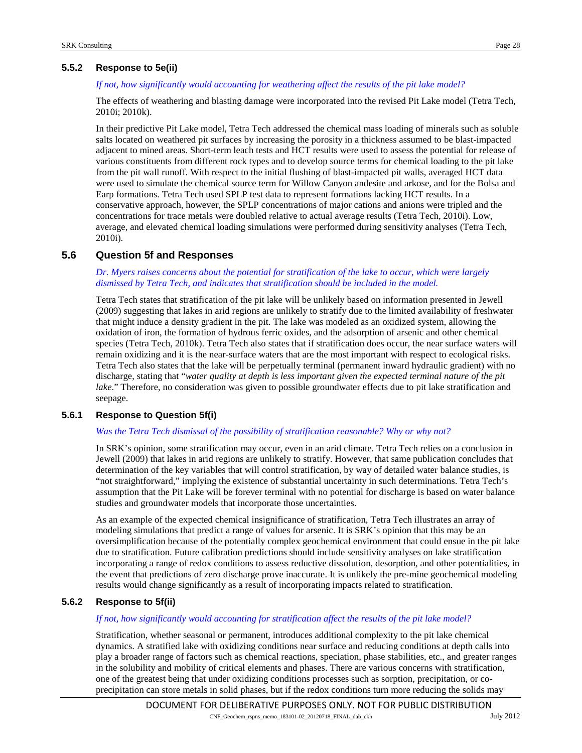# **5.5.2 Response to 5e(ii)**

#### *If not, how significantly would accounting for weathering affect the results of the pit lake model?*

The effects of weathering and blasting damage were incorporated into the revised Pit Lake model (Tetra Tech, 2010i; 2010k).

In their predictive Pit Lake model, Tetra Tech addressed the chemical mass loading of minerals such as soluble salts located on weathered pit surfaces by increasing the porosity in a thickness assumed to be blast-impacted adjacent to mined areas. Short-term leach tests and HCT results were used to assess the potential for release of various constituents from different rock types and to develop source terms for chemical loading to the pit lake from the pit wall runoff. With respect to the initial flushing of blast-impacted pit walls, averaged HCT data were used to simulate the chemical source term for Willow Canyon andesite and arkose, and for the Bolsa and Earp formations. Tetra Tech used SPLP test data to represent formations lacking HCT results. In a conservative approach, however, the SPLP concentrations of major cations and anions were tripled and the concentrations for trace metals were doubled relative to actual average results (Tetra Tech, 2010i). Low, average, and elevated chemical loading simulations were performed during sensitivity analyses (Tetra Tech, 2010i).

# **5.6 Question 5f and Responses**

#### *Dr. Myers raises concerns about the potential for stratification of the lake to occur, which were largely dismissed by Tetra Tech, and indicates that stratification should be included in the model.*

Tetra Tech states that stratification of the pit lake will be unlikely based on information presented in Jewell (2009) suggesting that lakes in arid regions are unlikely to stratify due to the limited availability of freshwater that might induce a density gradient in the pit. The lake was modeled as an oxidized system, allowing the oxidation of iron, the formation of hydrous ferric oxides, and the adsorption of arsenic and other chemical species (Tetra Tech, 2010k). Tetra Tech also states that if stratification does occur, the near surface waters will remain oxidizing and it is the near-surface waters that are the most important with respect to ecological risks. Tetra Tech also states that the lake will be perpetually terminal (permanent inward hydraulic gradient) with no discharge, stating that "*water quality at depth is less important given the expected terminal nature of the pit lake*." Therefore, no consideration was given to possible groundwater effects due to pit lake stratification and seepage.

#### **5.6.1 Response to Question 5f(i)**

#### *Was the Tetra Tech dismissal of the possibility of stratification reasonable? Why or why not?*

In SRK's opinion, some stratification may occur, even in an arid climate. Tetra Tech relies on a conclusion in Jewell (2009) that lakes in arid regions are unlikely to stratify. However, that same publication concludes that determination of the key variables that will control stratification, by way of detailed water balance studies, is "not straightforward," implying the existence of substantial uncertainty in such determinations. Tetra Tech's assumption that the Pit Lake will be forever terminal with no potential for discharge is based on water balance studies and groundwater models that incorporate those uncertainties.

As an example of the expected chemical insignificance of stratification, Tetra Tech illustrates an array of modeling simulations that predict a range of values for arsenic. It is SRK's opinion that this may be an oversimplification because of the potentially complex geochemical environment that could ensue in the pit lake due to stratification. Future calibration predictions should include sensitivity analyses on lake stratification incorporating a range of redox conditions to assess reductive dissolution, desorption, and other potentialities, in the event that predictions of zero discharge prove inaccurate. It is unlikely the pre-mine geochemical modeling results would change significantly as a result of incorporating impacts related to stratification.

# **5.6.2 Response to 5f(ii)**

#### *If not, how significantly would accounting for stratification affect the results of the pit lake model?*

Stratification, whether seasonal or permanent, introduces additional complexity to the pit lake chemical dynamics. A stratified lake with oxidizing conditions near surface and reducing conditions at depth calls into play a broader range of factors such as chemical reactions, speciation, phase stabilities, etc., and greater ranges in the solubility and mobility of critical elements and phases. There are various concerns with stratification, one of the greatest being that under oxidizing conditions processes such as sorption, precipitation, or coprecipitation can store metals in solid phases, but if the redox conditions turn more reducing the solids may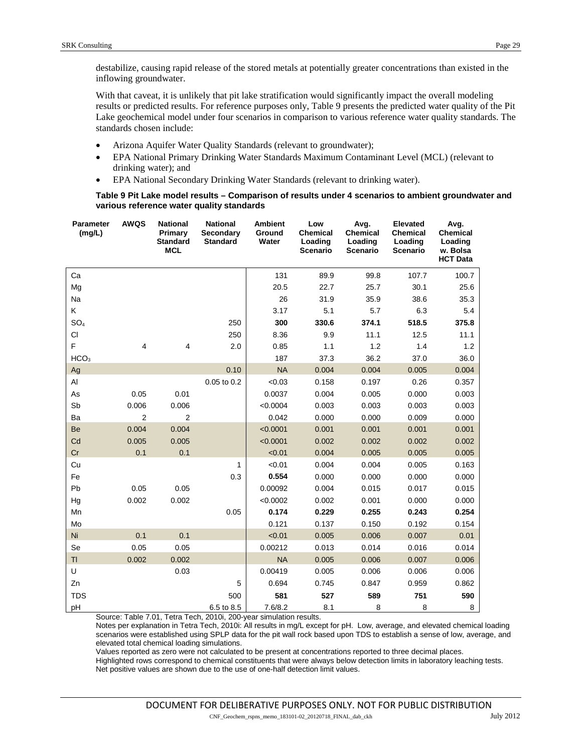destabilize, causing rapid release of the stored metals at potentially greater concentrations than existed in the inflowing groundwater.

With that caveat, it is unlikely that pit lake stratification would significantly impact the overall modeling results or predicted results. For reference purposes only, [Table 9](#page-28-0) presents the predicted water quality of the Pit Lake geochemical model under four scenarios in comparison to various reference water quality standards. The standards chosen include:

- Arizona Aquifer Water Quality Standards (relevant to groundwater);
- EPA National Primary Drinking Water Standards Maximum Contaminant Level (MCL) (relevant to drinking water); and
- EPA National Secondary Drinking Water Standards (relevant to drinking water).

#### **Table 9 Pit Lake model results – Comparison of results under 4 scenarios to ambient groundwater and various reference water quality standards**

<span id="page-28-0"></span>

| <b>Parameter</b><br>(mg/L) | <b>AWQS</b> | <b>National</b><br>Primary<br><b>Standard</b><br><b>MCL</b> | <b>National</b><br>Secondary<br><b>Standard</b> | <b>Ambient</b><br>Ground<br>Water | Low<br><b>Chemical</b><br>Loading<br><b>Scenario</b> | Avg.<br><b>Chemical</b><br>Loading<br><b>Scenario</b> | <b>Elevated</b><br><b>Chemical</b><br>Loading<br><b>Scenario</b> | Avg.<br><b>Chemical</b><br>Loading<br>w. Bolsa<br><b>HCT Data</b> |
|----------------------------|-------------|-------------------------------------------------------------|-------------------------------------------------|-----------------------------------|------------------------------------------------------|-------------------------------------------------------|------------------------------------------------------------------|-------------------------------------------------------------------|
| Ca                         |             |                                                             |                                                 | 131                               | 89.9                                                 | 99.8                                                  | 107.7                                                            | 100.7                                                             |
| Mg                         |             |                                                             |                                                 | 20.5                              | 22.7                                                 | 25.7                                                  | 30.1                                                             | 25.6                                                              |
| Na                         |             |                                                             |                                                 | 26                                | 31.9                                                 | 35.9                                                  | 38.6                                                             | 35.3                                                              |
| K                          |             |                                                             |                                                 | 3.17                              | 5.1                                                  | 5.7                                                   | 6.3                                                              | 5.4                                                               |
| SO <sub>4</sub>            |             |                                                             | 250                                             | 300                               | 330.6                                                | 374.1                                                 | 518.5                                                            | 375.8                                                             |
| <b>CI</b>                  |             |                                                             | 250                                             | 8.36                              | 9.9                                                  | 11.1                                                  | 12.5                                                             | 11.1                                                              |
| F                          | 4           | $\overline{4}$                                              | 2.0                                             | 0.85                              | 1.1                                                  | 1.2                                                   | 1.4                                                              | 1.2                                                               |
| HCO <sub>3</sub>           |             |                                                             |                                                 | 187                               | 37.3                                                 | 36.2                                                  | 37.0                                                             | 36.0                                                              |
| Ag                         |             |                                                             | 0.10                                            | <b>NA</b>                         | 0.004                                                | 0.004                                                 | 0.005                                                            | 0.004                                                             |
| AI                         |             |                                                             | 0.05 to 0.2                                     | < 0.03                            | 0.158                                                | 0.197                                                 | 0.26                                                             | 0.357                                                             |
| As                         | 0.05        | 0.01                                                        |                                                 | 0.0037                            | 0.004                                                | 0.005                                                 | 0.000                                                            | 0.003                                                             |
| Sb                         | 0.006       | 0.006                                                       |                                                 | < 0.0004                          | 0.003                                                | 0.003                                                 | 0.003                                                            | 0.003                                                             |
| Ba                         | 2           | 2                                                           |                                                 | 0.042                             | 0.000                                                | 0.000                                                 | 0.009                                                            | 0.000                                                             |
| Be                         | 0.004       | 0.004                                                       |                                                 | < 0.0001                          | 0.001                                                | 0.001                                                 | 0.001                                                            | 0.001                                                             |
| Cd                         | 0.005       | 0.005                                                       |                                                 | < 0.0001                          | 0.002                                                | 0.002                                                 | 0.002                                                            | 0.002                                                             |
| Cr                         | 0.1         | 0.1                                                         |                                                 | < 0.01                            | 0.004                                                | 0.005                                                 | 0.005                                                            | 0.005                                                             |
| Cu                         |             |                                                             | 1                                               | < 0.01                            | 0.004                                                | 0.004                                                 | 0.005                                                            | 0.163                                                             |
| Fe                         |             |                                                             | 0.3                                             | 0.554                             | 0.000                                                | 0.000                                                 | 0.000                                                            | 0.000                                                             |
| Pb                         | 0.05        | 0.05                                                        |                                                 | 0.00092                           | 0.004                                                | 0.015                                                 | 0.017                                                            | 0.015                                                             |
| Hg                         | 0.002       | 0.002                                                       |                                                 | < 0.0002                          | 0.002                                                | 0.001                                                 | 0.000                                                            | 0.000                                                             |
| Mn                         |             |                                                             | 0.05                                            | 0.174                             | 0.229                                                | 0.255                                                 | 0.243                                                            | 0.254                                                             |
| Mo                         |             |                                                             |                                                 | 0.121                             | 0.137                                                | 0.150                                                 | 0.192                                                            | 0.154                                                             |
| Ni                         | 0.1         | 0.1                                                         |                                                 | < 0.01                            | 0.005                                                | 0.006                                                 | 0.007                                                            | 0.01                                                              |
| Se                         | 0.05        | 0.05                                                        |                                                 | 0.00212                           | 0.013                                                | 0.014                                                 | 0.016                                                            | 0.014                                                             |
| TI                         | 0.002       | 0.002                                                       |                                                 | <b>NA</b>                         | 0.005                                                | 0.006                                                 | 0.007                                                            | 0.006                                                             |
| U                          |             | 0.03                                                        |                                                 | 0.00419                           | 0.005                                                | 0.006                                                 | 0.006                                                            | 0.006                                                             |
| Zn                         |             |                                                             | 5                                               | 0.694                             | 0.745                                                | 0.847                                                 | 0.959                                                            | 0.862                                                             |
| <b>TDS</b>                 |             |                                                             | 500                                             | 581                               | 527                                                  | 589                                                   | 751                                                              | 590                                                               |
| pH                         |             |                                                             | 6.5 to 8.5                                      | 7.6/8.2                           | 8.1                                                  | 8                                                     | 8                                                                | 8                                                                 |

Source: Table 7.01, Tetra Tech, 2010i, 200-year simulation results.

Notes per explanation in Tetra Tech, 2010i: All results in mg/L except for pH. Low, average, and elevated chemical loading scenarios were established using SPLP data for the pit wall rock based upon TDS to establish a sense of low, average, and elevated total chemical loading simulations.

Values reported as zero were not calculated to be present at concentrations reported to three decimal places.

Highlighted rows correspond to chemical constituents that were always below detection limits in laboratory leaching tests. Net positive values are shown due to the use of one-half detection limit values.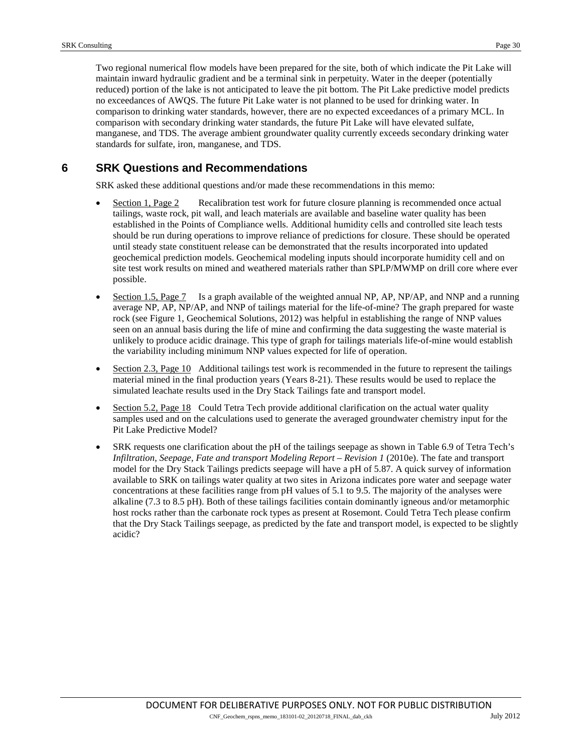Two regional numerical flow models have been prepared for the site, both of which indicate the Pit Lake will maintain inward hydraulic gradient and be a terminal sink in perpetuity. Water in the deeper (potentially reduced) portion of the lake is not anticipated to leave the pit bottom. The Pit Lake predictive model predicts no exceedances of AWQS. The future Pit Lake water is not planned to be used for drinking water. In comparison to drinking water standards, however, there are no expected exceedances of a primary MCL. In comparison with secondary drinking water standards, the future Pit Lake will have elevated sulfate, manganese, and TDS. The average ambient groundwater quality currently exceeds secondary drinking water standards for sulfate, iron, manganese, and TDS.

# **6 SRK Questions and Recommendations**

SRK asked these additional questions and/or made these recommendations in this memo:

- Section 1, Page 2 Recalibration test work for future closure planning is recommended once actual tailings, waste rock, pit wall, and leach materials are available and baseline water quality has been established in the Points of Compliance wells. Additional humidity cells and controlled site leach tests should be run during operations to improve reliance of predictions for closure. These should be operated until steady state constituent release can be demonstrated that the results incorporated into updated geochemical prediction models. Geochemical modeling inputs should incorporate humidity cell and on site test work results on mined and weathered materials rather than SPLP/MWMP on drill core where ever possible.
- Section 1.5, Page 7 Is a graph available of the weighted annual NP, AP, NP/AP, and NNP and a running average NP, AP, NP/AP, and NNP of tailings material for the life-of-mine? The graph prepared for waste rock (see Figure 1, Geochemical Solutions, 2012) was helpful in establishing the range of NNP values seen on an annual basis during the life of mine and confirming the data suggesting the waste material is unlikely to produce acidic drainage. This type of graph for tailings materials life-of-mine would establish the variability including minimum NNP values expected for life of operation.
- Section 2.3, Page 10 Additional tailings test work is recommended in the future to represent the tailings material mined in the final production years (Years 8-21). These results would be used to replace the simulated leachate results used in the Dry Stack Tailings fate and transport model.
- Section 5.2, Page 18 Could Tetra Tech provide additional clarification on the actual water quality samples used and on the calculations used to generate the averaged groundwater chemistry input for the Pit Lake Predictive Model?
- SRK requests one clarification about the pH of the tailings seepage as shown in Table 6.9 of Tetra Tech's *Infiltration, Seepage, Fate and transport Modeling Report – Revision 1* (2010e). The fate and transport model for the Dry Stack Tailings predicts seepage will have a pH of 5.87. A quick survey of information available to SRK on tailings water quality at two sites in Arizona indicates pore water and seepage water concentrations at these facilities range from pH values of 5.1 to 9.5. The majority of the analyses were alkaline (7.3 to 8.5 pH). Both of these tailings facilities contain dominantly igneous and/or metamorphic host rocks rather than the carbonate rock types as present at Rosemont. Could Tetra Tech please confirm that the Dry Stack Tailings seepage, as predicted by the fate and transport model, is expected to be slightly acidic?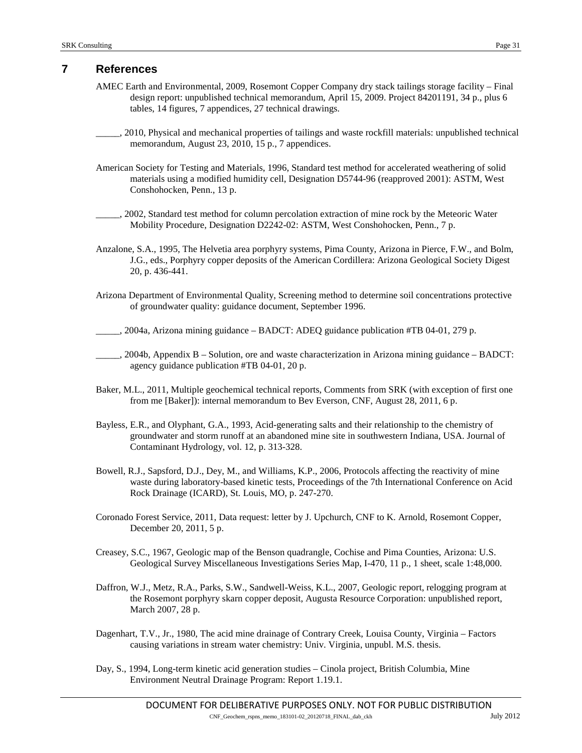# <span id="page-30-0"></span>**7 References**

- AMEC Earth and Environmental, 2009, Rosemont Copper Company dry stack tailings storage facility Final design report: unpublished technical memorandum, April 15, 2009. Project 84201191, 34 p., plus 6 tables, 14 figures, 7 appendices, 27 technical drawings.
- \_\_\_\_\_, 2010, Physical and mechanical properties of tailings and waste rockfill materials: unpublished technical memorandum, August 23, 2010, 15 p., 7 appendices.

American Society for Testing and Materials, 1996, Standard test method for accelerated weathering of solid materials using a modified humidity cell, Designation D5744-96 (reapproved 2001): ASTM, West Conshohocken, Penn., 13 p.

\_\_\_\_\_, 2002, Standard test method for column percolation extraction of mine rock by the Meteoric Water Mobility Procedure, Designation D2242-02: ASTM, West Conshohocken, Penn., 7 p.

Anzalone, S.A., 1995, The Helvetia area porphyry systems, Pima County, Arizona in Pierce, F.W., and Bolm, J.G., eds., Porphyry copper deposits of the American Cordillera: Arizona Geological Society Digest 20, p. 436-441.

Arizona Department of Environmental Quality, Screening method to determine soil concentrations protective of groundwater quality: guidance document, September 1996.

 $\mu$ , 2004a, Arizona mining guidance – BADCT: ADEQ guidance publication #TB 04-01, 279 p.

- \_\_\_\_\_, 2004b, Appendix B Solution, ore and waste characterization in Arizona mining guidance BADCT: agency guidance publication #TB 04-01, 20 p.
- Baker, M.L., 2011, Multiple geochemical technical reports, Comments from SRK (with exception of first one from me [Baker]): internal memorandum to Bev Everson, CNF, August 28, 2011, 6 p.
- Bayless, E.R., and Olyphant, G.A., 1993, Acid-generating salts and their relationship to the chemistry of groundwater and storm runoff at an abandoned mine site in southwestern Indiana, USA. Journal of Contaminant Hydrology, vol. 12, p. 313-328.
- Bowell, R.J., Sapsford, D.J., Dey, M., and Williams, K.P., 2006, Protocols affecting the reactivity of mine waste during laboratory-based kinetic tests, Proceedings of the 7th International Conference on Acid Rock Drainage (ICARD), St. Louis, MO, p. 247-270.
- Coronado Forest Service, 2011, Data request: letter by J. Upchurch, CNF to K. Arnold, Rosemont Copper, December 20, 2011, 5 p.
- Creasey, S.C., 1967, [Geologic map of the Benson quadrangle,](http://ngmdb.usgs.gov/Prodesc/proddesc_1297.htm) Cochise and Pima Counties, Arizona: U.S. Geological Survey Miscellaneous Investigations Series Map, I-470, 11 p., 1 sheet, scale 1:48,000.
- Daffron, W.J., Metz, R.A., Parks, S.W., Sandwell-Weiss, K.L., 2007, Geologic report, relogging program at the Rosemont porphyry skarn copper deposit, Augusta Resource Corporation: unpublished report, March 2007, 28 p.
- Dagenhart, T.V., Jr., 1980, The acid mine drainage of Contrary Creek, Louisa County, Virginia Factors causing variations in stream water chemistry: Univ. Virginia, unpubl. M.S. thesis.
- Day, S., 1994, Long-term kinetic acid generation studies Cinola project, British Columbia, Mine Environment Neutral Drainage Program: Report 1.19.1.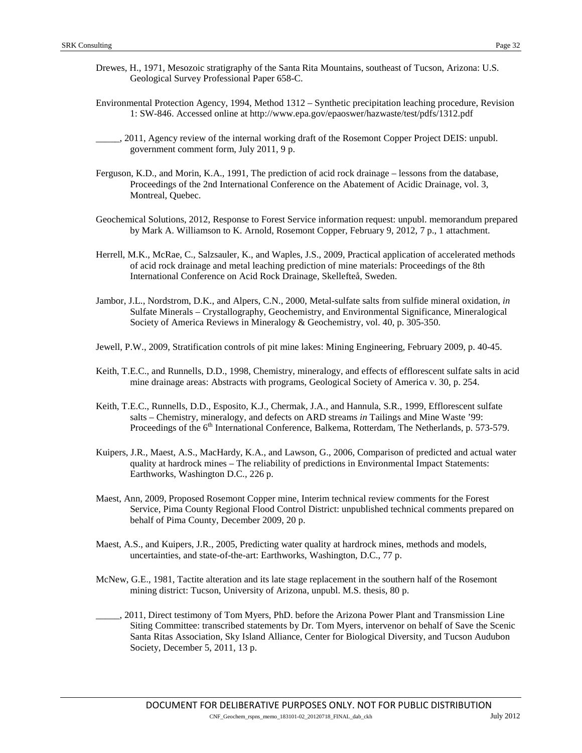- Environmental Protection Agency, 1994, Method 1312 Synthetic precipitation leaching procedure, Revision 1: SW-846. Accessed online at<http://www.epa.gov/epaoswer/hazwaste/test/pdfs/1312.pdf>
- \_\_\_\_\_, 2011, Agency review of the internal working draft of the Rosemont Copper Project DEIS: unpubl. government comment form, July 2011, 9 p.
- Ferguson, K.D., and Morin, K.A., 1991, The prediction of acid rock drainage lessons from the database, Proceedings of the 2nd International Conference on the Abatement of Acidic Drainage, vol. 3, Montreal, Quebec.
- Geochemical Solutions, 2012, Response to Forest Service information request: unpubl. memorandum prepared by Mark A. Williamson to K. Arnold, Rosemont Copper, February 9, 2012, 7 p., 1 attachment.
- Herrell, M.K., McRae, C., Salzsauler, K., and Waples, J.S., 2009, Practical application of accelerated methods of acid rock drainage and metal leaching prediction of mine materials: Proceedings of the 8th International Conference on Acid Rock Drainage, Skellefteå, Sweden.
- Jambor, J.L., Nordstrom, D.K., and Alpers, C.N., 2000, Metal-sulfate salts from sulfide mineral oxidation, *in* Sulfate Minerals – Crystallography, Geochemistry, and Environmental Significance, Mineralogical Society of America Reviews in Mineralogy & Geochemistry, vol. 40, p. 305-350.
- Jewell, P.W., 2009, Stratification controls of pit mine lakes: Mining Engineering, February 2009, p. 40-45.
- Keith, T.E.C., and Runnells, D.D., 1998, Chemistry, mineralogy, and effects of efflorescent sulfate salts in acid mine drainage areas: Abstracts with programs, Geological Society of America v. 30, p. 254.
- Keith, T.E.C., Runnells, D.D., Esposito, K.J., Chermak, J.A., and Hannula, S.R., 1999, Efflorescent sulfate salts – Chemistry, mineralogy, and defects on ARD streams *in* Tailings and Mine Waste '99: Proceedings of the 6<sup>th</sup> International Conference, Balkema, Rotterdam, The Netherlands, p. 573-579.
- Kuipers, J.R., Maest, A.S., MacHardy, K.A., and Lawson, G., 2006, Comparison of predicted and actual water quality at hardrock mines – The reliability of predictions in Environmental Impact Statements: Earthworks, Washington D.C., 226 p.
- Maest, Ann, 2009, Proposed Rosemont Copper mine, Interim technical review comments for the Forest Service, Pima County Regional Flood Control District: unpublished technical comments prepared on behalf of Pima County, December 2009, 20 p.
- Maest, A.S., and Kuipers, J.R., 2005, Predicting water quality at hardrock mines, methods and models, uncertainties, and state-of-the-art: Earthworks, Washington, D.C., 77 p.
- McNew, G.E., 1981, Tactite alteration and its late stage replacement in the southern half of the Rosemont mining district: Tucson, University of Arizona, unpubl. M.S. thesis, 80 p.
- \_\_\_\_\_, 2011, Direct testimony of Tom Myers, PhD. before the Arizona Power Plant and Transmission Line Siting Committee: transcribed statements by Dr. Tom Myers, intervenor on behalf of Save the Scenic Santa Ritas Association, Sky Island Alliance, Center for Biological Diversity, and Tucson Audubon Society, December 5, 2011, 13 p.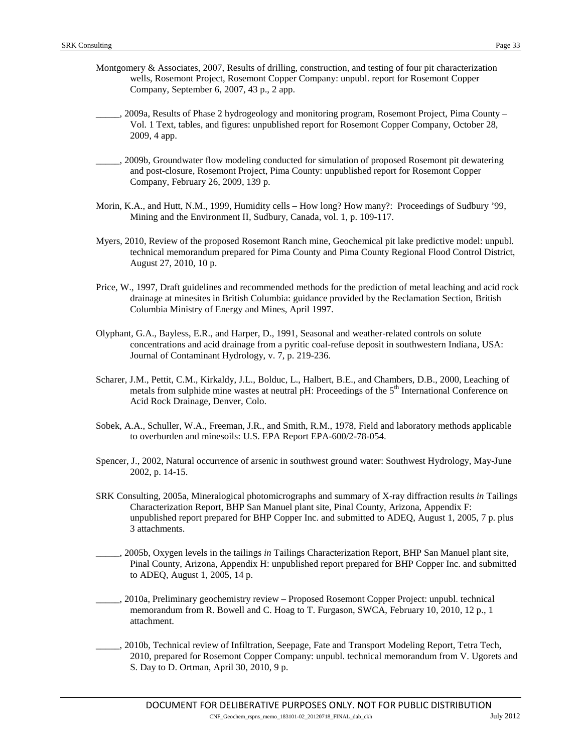- Montgomery & Associates, 2007, Results of drilling, construction, and testing of four pit characterization wells, Rosemont Project, Rosemont Copper Company: unpubl. report for Rosemont Copper Company, September 6, 2007, 43 p., 2 app.
- \_\_\_\_\_, 2009a, Results of Phase 2 hydrogeology and monitoring program, Rosemont Project, Pima County Vol. 1 Text, tables, and figures: unpublished report for Rosemont Copper Company, October 28, 2009, 4 app.
- \_\_\_\_\_, 2009b, Groundwater flow modeling conducted for simulation of proposed Rosemont pit dewatering and post-closure, Rosemont Project, Pima County: unpublished report for Rosemont Copper Company, February 26, 2009, 139 p.
- Morin, K.A., and Hutt, N.M., 1999, Humidity cells How long? How many?: Proceedings of Sudbury '99, Mining and the Environment II, Sudbury, Canada, vol. 1, p. 109-117.
- Myers, 2010, Review of the proposed Rosemont Ranch mine, Geochemical pit lake predictive model: unpubl. technical memorandum prepared for Pima County and Pima County Regional Flood Control District, August 27, 2010, 10 p.
- Price, W., 1997, Draft guidelines and recommended methods for the prediction of metal leaching and acid rock drainage at minesites in British Columbia: guidance provided by the Reclamation Section, British Columbia Ministry of Energy and Mines, April 1997.
- Olyphant, G.A., Bayless, E.R., and Harper, D., 1991, Seasonal and weather-related controls on solute concentrations and acid drainage from a pyritic coal-refuse deposit in southwestern Indiana, USA: Journal of Contaminant Hydrology, v. 7, p. 219-236.
- Scharer, J.M., Pettit, C.M., Kirkaldy, J.L., Bolduc, L., Halbert, B.E., and Chambers, D.B., 2000, Leaching of metals from sulphide mine wastes at neutral pH: Proceedings of the 5<sup>th</sup> International Conference on Acid Rock Drainage, Denver, Colo.
- Sobek, A.A., Schuller, W.A., Freeman, J.R., and Smith, R.M., 1978, Field and laboratory methods applicable to overburden and minesoils: U.S. EPA Report EPA-600/2-78-054.
- Spencer, J., 2002, Natural occurrence of arsenic in southwest ground water: Southwest Hydrology, May-June 2002, p. 14-15.
- SRK Consulting, 2005a, Mineralogical photomicrographs and summary of X-ray diffraction results *in* Tailings Characterization Report, BHP San Manuel plant site, Pinal County, Arizona, Appendix F: unpublished report prepared for BHP Copper Inc. and submitted to ADEQ, August 1, 2005, 7 p. plus 3 attachments.
- \_\_\_\_\_, 2005b, Oxygen levels in the tailings *in* Tailings Characterization Report, BHP San Manuel plant site, Pinal County, Arizona, Appendix H: unpublished report prepared for BHP Copper Inc. and submitted to ADEQ, August 1, 2005, 14 p.
- \_\_\_\_\_, 2010a, Preliminary geochemistry review Proposed Rosemont Copper Project: unpubl. technical memorandum from R. Bowell and C. Hoag to T. Furgason, SWCA, February 10, 2010, 12 p., 1 attachment.
- \_\_\_\_\_, 2010b, Technical review of Infiltration, Seepage, Fate and Transport Modeling Report, Tetra Tech, 2010, prepared for Rosemont Copper Company: unpubl. technical memorandum from V. Ugorets and S. Day to D. Ortman, April 30, 2010, 9 p.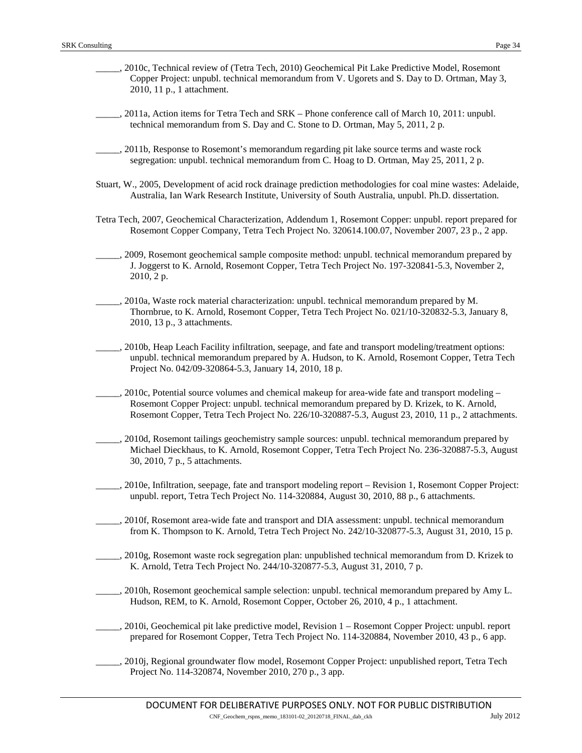- \_\_\_\_\_, 2010c, Technical review of (Tetra Tech, 2010) Geochemical Pit Lake Predictive Model, Rosemont Copper Project: unpubl. technical memorandum from V. Ugorets and S. Day to D. Ortman, May 3, 2010, 11 p., 1 attachment.
- \_\_\_\_\_, 2011a, Action items for Tetra Tech and SRK Phone conference call of March 10, 2011: unpubl. technical memorandum from S. Day and C. Stone to D. Ortman, May 5, 2011, 2 p.
- \_\_\_\_\_, 2011b, Response to Rosemont's memorandum regarding pit lake source terms and waste rock segregation: unpubl. technical memorandum from C. Hoag to D. Ortman, May 25, 2011, 2 p.
- Stuart, W., 2005, Development of acid rock drainage prediction methodologies for coal mine wastes: Adelaide, Australia, Ian Wark Research Institute, University of South Australia, unpubl. Ph.D. dissertation.
- Tetra Tech, 2007, Geochemical Characterization, Addendum 1, Rosemont Copper: unpubl. report prepared for Rosemont Copper Company, Tetra Tech Project No. 320614.100.07, November 2007, 23 p., 2 app.
- \_\_\_\_\_, 2009, Rosemont geochemical sample composite method: unpubl. technical memorandum prepared by J. Joggerst to K. Arnold, Rosemont Copper, Tetra Tech Project No. 197-320841-5.3, November 2, 2010, 2 p.
- \_\_\_\_\_, 2010a, Waste rock material characterization: unpubl. technical memorandum prepared by M. Thornbrue, to K. Arnold, Rosemont Copper, Tetra Tech Project No. 021/10-320832-5.3, January 8, 2010, 13 p., 3 attachments.
- \_\_\_\_\_, 2010b, Heap Leach Facility infiltration, seepage, and fate and transport modeling/treatment options: unpubl. technical memorandum prepared by A. Hudson, to K. Arnold, Rosemont Copper, Tetra Tech Project No. 042/09-320864-5.3, January 14, 2010, 18 p.
- $\Box$ , 2010c, Potential source volumes and chemical makeup for area-wide fate and transport modeling Rosemont Copper Project: unpubl. technical memorandum prepared by D. Krizek, to K. Arnold, Rosemont Copper, Tetra Tech Project No. 226/10-320887-5.3, August 23, 2010, 11 p., 2 attachments.
- \_\_\_\_\_, 2010d, Rosemont tailings geochemistry sample sources: unpubl. technical memorandum prepared by Michael Dieckhaus, to K. Arnold, Rosemont Copper, Tetra Tech Project No. 236-320887-5.3, August 30, 2010, 7 p., 5 attachments.
- \_\_\_\_\_, 2010e, Infiltration, seepage, fate and transport modeling report Revision 1, Rosemont Copper Project: unpubl. report, Tetra Tech Project No. 114-320884, August 30, 2010, 88 p., 6 attachments.
- \_\_\_\_\_, 2010f, Rosemont area-wide fate and transport and DIA assessment: unpubl. technical memorandum from K. Thompson to K. Arnold, Tetra Tech Project No. 242/10-320877-5.3, August 31, 2010, 15 p.
- \_\_\_\_\_, 2010g, Rosemont waste rock segregation plan: unpublished technical memorandum from D. Krizek to K. Arnold, Tetra Tech Project No. 244/10-320877-5.3, August 31, 2010, 7 p.
- \_\_\_\_\_, 2010h, Rosemont geochemical sample selection: unpubl. technical memorandum prepared by Amy L. Hudson, REM, to K. Arnold, Rosemont Copper, October 26, 2010, 4 p., 1 attachment.
- \_\_\_\_\_, 2010i, Geochemical pit lake predictive model, Revision 1 Rosemont Copper Project: unpubl. report prepared for Rosemont Copper, Tetra Tech Project No. 114-320884, November 2010, 43 p., 6 app.
- \_\_\_\_\_, 2010j, Regional groundwater flow model, Rosemont Copper Project: unpublished report, Tetra Tech Project No. 114-320874, November 2010, 270 p., 3 app.